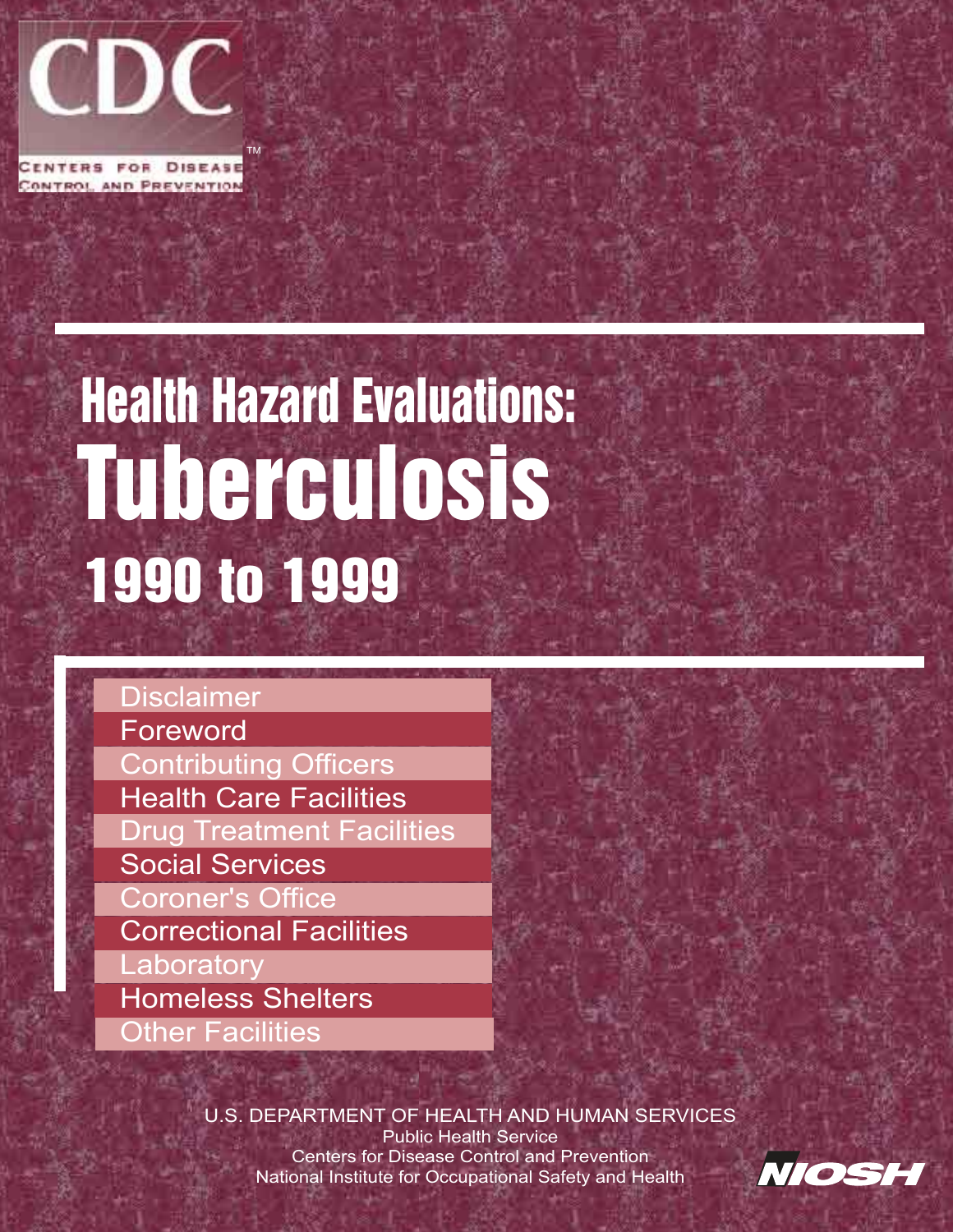

# Health Hazard Evaluations: Tuberculosis 1990 to 1999

[Disclaimer](#page-2-0) **[Foreword](#page-3-0)** [Contributing Officers](#page-4-0) [Health Care Facilities](#page-5-0) [Drug Treatment Facilities](#page-14-0) Social Services [Coroner's Office](#page-16-0) [Correctional Facilities](#page-17-0) **[Laboratory](#page-20-0)** [Homeless Shelters](#page-22-0) **[Other Facilities](#page-23-0)** 

> U.S. DEPARTMENT OF HEALTH AND HUMAN SERVICES Public Health Service Centers for Disease Control and Prevention National Institute for Occupational Safety and Health

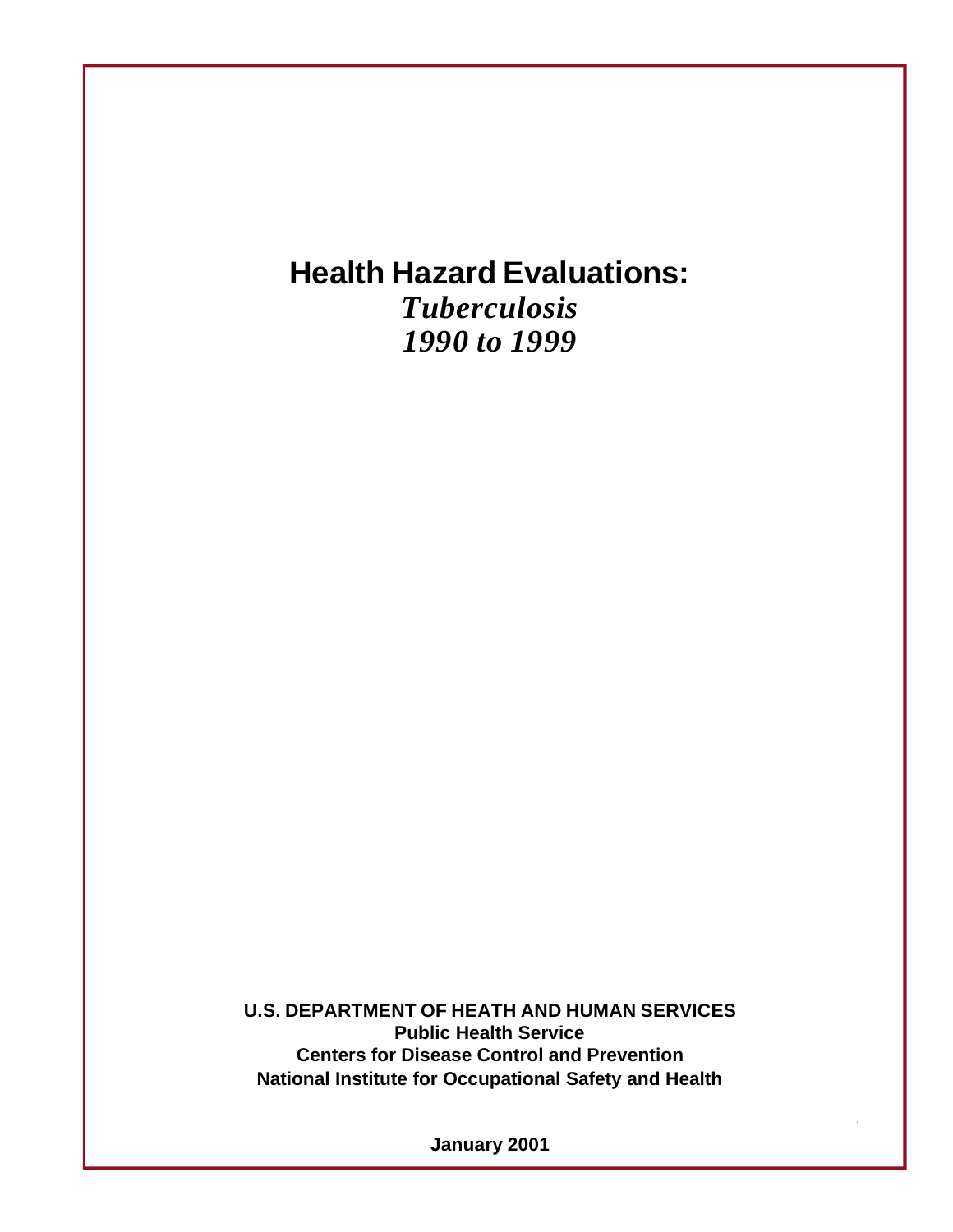# **Health Hazard Evaluations:**

*Tuberculosis 1990 to 1999*

**U.S. DEPARTMENT OF HEATH AND HUMAN SERVICES Public Health Service Centers for Disease Control and Prevention National Institute for Occupational Safety and Health**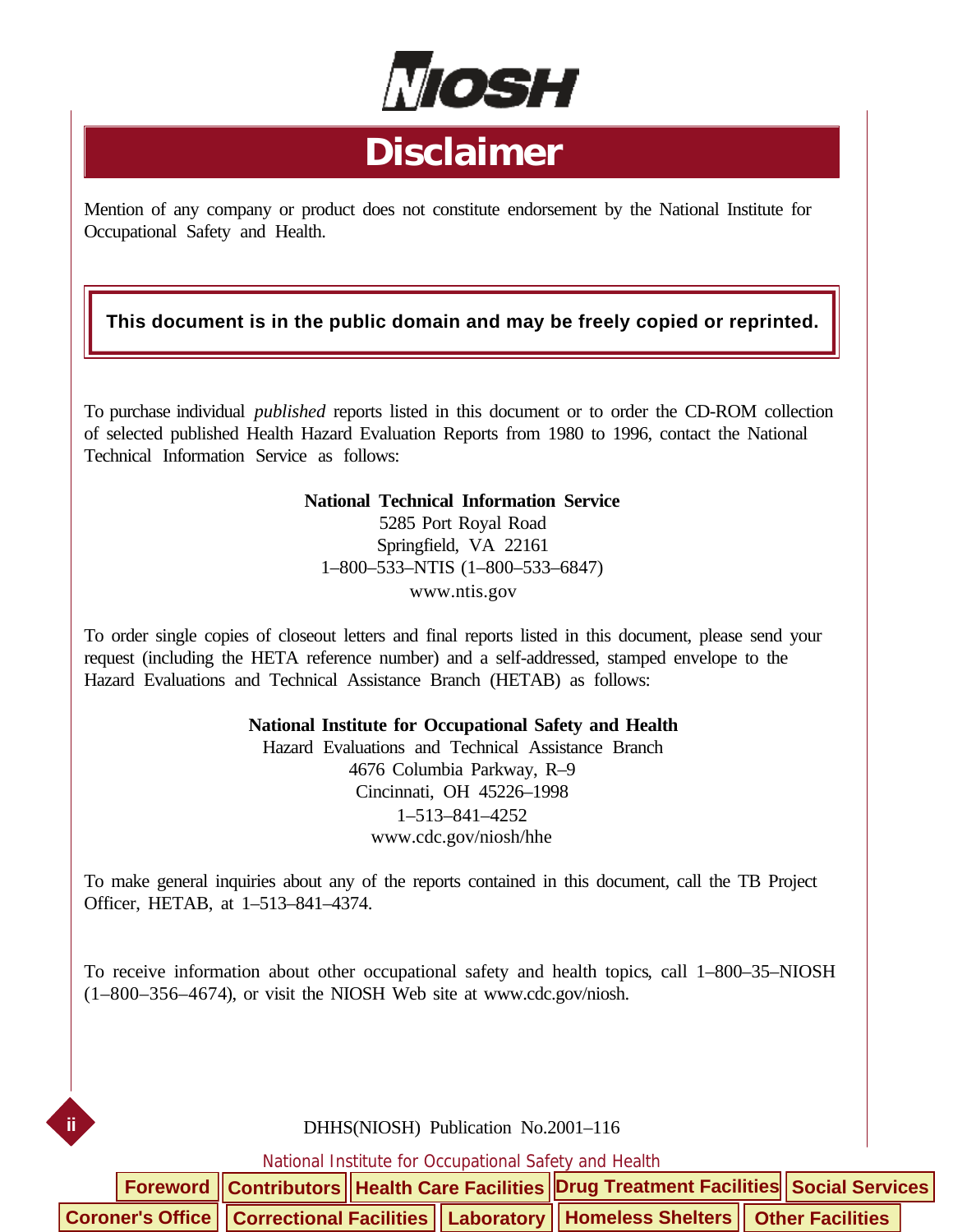

# **Disclaimer**

<span id="page-2-0"></span>Mention of any company or product does not constitute endorsement by the National Institute for Occupational Safety and Health.

#### **This document is in the public domain and may be freely copied or reprinted.**

To purchase individual *published* reports listed in this document or to order the CD-ROM collection of selected published Health Hazard Evaluation Reports from 1980 to 1996, contact the National Technical Information Service as follows:

#### **National Technical Information Service**

5285 Port Royal Road Springfield, VA 22161 1–800–533–NTIS (1–800–533–6847) www.ntis.gov

To order single copies of closeout letters and final reports listed in this document, please send your request (including the HETA reference number) and a self-addressed, stamped envelope to the Hazard Evaluations and Technical Assistance Branch (HETAB) as follows:

#### **National Institute for Occupational Safety and Health**

Hazard Evaluations and Technical Assistance Branch 4676 Columbia Parkway, R–9 Cincinnati, OH 45226–1998 1–513–841–4252 www.cdc.gov/niosh/hhe

To make general inquiries about any of the reports contained in this document, call the TB Project Officer, HETAB, at 1–513–841–4374.

To receive information about other occupational safety and health topics, call 1–800–35–NIOSH (1–800–356–4674), or visit the NIOSH Web site at www.cdc.gov/niosh.

#### DHHS(NIOSH) Publication No.2001–116

**ii**

|  |  | Foreword    Contributors    Health Care Facilities    Drug Treatment Facilities    Social Services |  |  |
|--|--|----------------------------------------------------------------------------------------------------|--|--|
|  |  | Coroner's Office   Correctional Facilities   Laboratory   Homeless Shelters   Other Facilities     |  |  |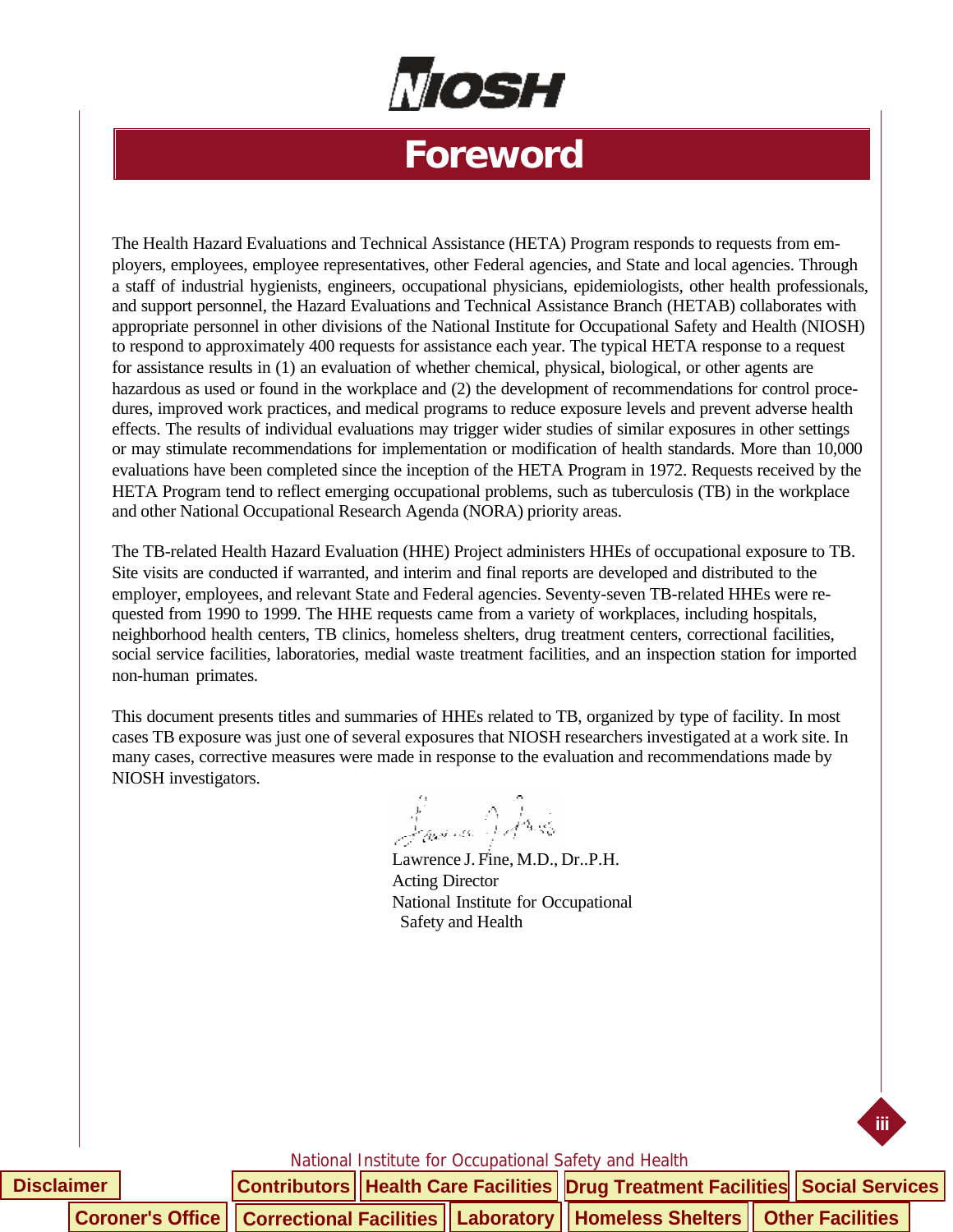

# **Foreword**

<span id="page-3-0"></span>The Health Hazard Evaluations and Technical Assistance (HETA) Program responds to requests from employers, employees, employee representatives, other Federal agencies, and State and local agencies. Through a staff of industrial hygienists, engineers, occupational physicians, epidemiologists, other health professionals, and support personnel, the Hazard Evaluations and Technical Assistance Branch (HETAB) collaborates with appropriate personnel in other divisions of the National Institute for Occupational Safety and Health (NIOSH) to respond to approximately 400 requests for assistance each year. The typical HETA response to a request for assistance results in (1) an evaluation of whether chemical, physical, biological, or other agents are hazardous as used or found in the workplace and (2) the development of recommendations for control procedures, improved work practices, and medical programs to reduce exposure levels and prevent adverse health effects. The results of individual evaluations may trigger wider studies of similar exposures in other settings or may stimulate recommendations for implementation or modification of health standards. More than 10,000 evaluations have been completed since the inception of the HETA Program in 1972. Requests received by the HETA Program tend to reflect emerging occupational problems, such as tuberculosis (TB) in the workplace and other National Occupational Research Agenda (NORA) priority areas.

The TB-related Health Hazard Evaluation (HHE) Project administers HHEs of occupational exposure to TB. Site visits are conducted if warranted, and interim and final reports are developed and distributed to the employer, employees, and relevant State and Federal agencies. Seventy-seven TB-related HHEs were requested from 1990 to 1999. The HHE requests came from a variety of workplaces, including hospitals, neighborhood health centers, TB clinics, homeless shelters, drug treatment centers, correctional facilities, social service facilities, laboratories, medial waste treatment facilities, and an inspection station for imported non-human primates.

This document presents titles and summaries of HHEs related to TB, organized by type of facility. In most cases TB exposure was just one of several exposures that NIOSH researchers investigated at a work site. In many cases, corrective measures were made in response to the evaluation and recommendations made by NIOSH investigators.

James JAns

Lawrence J. Fine, M.D., Dr..P.H. Acting Director National Institute for Occupational Safety and Health

National Institute for Occupational Safety and Health

**iii**

| Disclaimer |  |  | Contributors   Health Care Facilities   Drug Treatment Facilities   Social Services                 |  |
|------------|--|--|-----------------------------------------------------------------------------------------------------|--|
|            |  |  | Coroner's Office     Correctional Facilities    Laboratory    Homeless Shelters    Other Facilities |  |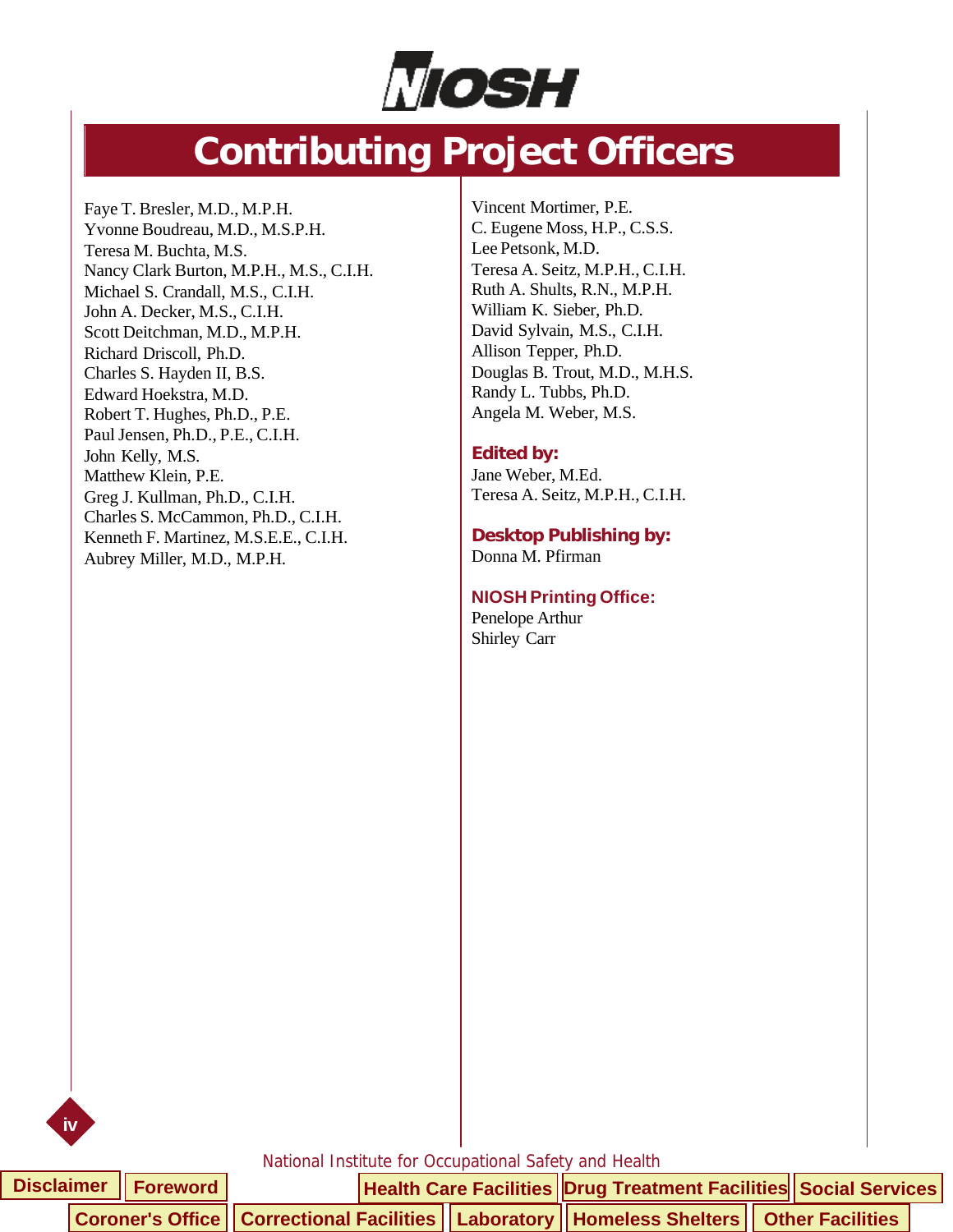

# **Contributing Project Officers**

<span id="page-4-0"></span>Faye T. Bresler, M.D., M.P.H. Yvonne Boudreau, M.D., M.S.P.H. Teresa M. Buchta, M.S. Nancy Clark Burton, M.P.H., M.S., C.I.H. Michael S. Crandall, M.S., C.I.H. John A. Decker, M.S., C.I.H. Scott Deitchman, M.D., M.P.H. Richard Driscoll, Ph.D. Charles S. Hayden II, B.S. Edward Hoekstra, M.D. Robert T. Hughes, Ph.D., P.E. Paul Jensen, Ph.D., P.E., C.I.H. John Kelly, M.S. Matthew Klein, P.E. Greg J. Kullman, Ph.D., C.I.H. Charles S. McCammon, Ph.D., C.I.H. Kenneth F. Martinez, M.S.E.E., C.I.H. Aubrey Miller, M.D., M.P.H.

Vincent Mortimer, P.E. C. Eugene Moss, H.P., C.S.S. Lee Petsonk, M.D. Teresa A. Seitz, M.P.H., C.I.H. Ruth A. Shults, R.N., M.P.H. William K. Sieber, Ph.D. David Sylvain, M.S., C.I.H. Allison Tepper, Ph.D. Douglas B. Trout, M.D., M.H.S. Randy L. Tubbs, Ph.D. Angela M. Weber, M.S.

#### **Edited by:**

Jane Weber, M.Ed. Teresa A. Seitz, M.P.H., C.I.H.

**Desktop Publishing by:** Donna M. Pfirman

#### **NIOSH Printing Office:**

Penelope Arthur Shirley Carr

**iv**

|  | Disclaimer   Foreword |  | Health Care Facilities Drug Treatment Facilities Social Services                                   |  |  |
|--|-----------------------|--|----------------------------------------------------------------------------------------------------|--|--|
|  |                       |  | Coroner's Office    Correctional Facilities    Laboratory    Homeless Shelters    Other Facilities |  |  |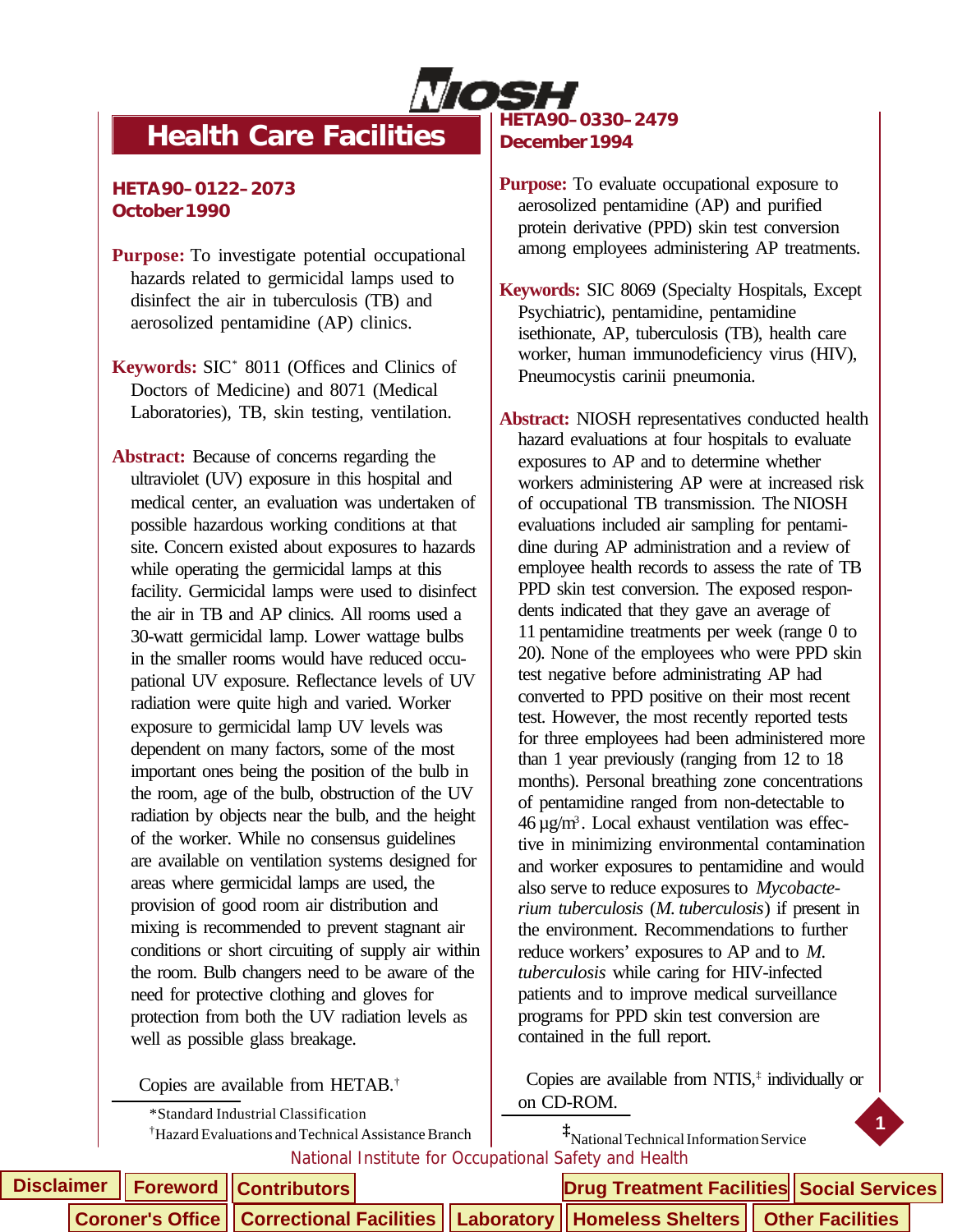

# <span id="page-5-0"></span>**Health Care Facilities**

#### **HETA 90–0122–2073 October 1990**

- **Purpose:** To investigate potential occupational hazards related to germicidal lamps used to disinfect the air in tuberculosis (TB) and aerosolized pentamidine (AP) clinics.
- **Keywords:** SIC\* 8011 (Offices and Clinics of Doctors of Medicine) and 8071 (Medical Laboratories), TB, skin testing, ventilation.
- **Abstract:** Because of concerns regarding the ultraviolet (UV) exposure in this hospital and medical center, an evaluation was undertaken of possible hazardous working conditions at that site. Concern existed about exposures to hazards while operating the germicidal lamps at this facility. Germicidal lamps were used to disinfect the air in TB and AP clinics. All rooms used a 30-watt germicidal lamp. Lower wattage bulbs in the smaller rooms would have reduced occupational UV exposure. Reflectance levels of UV radiation were quite high and varied. Worker exposure to germicidal lamp UV levels was dependent on many factors, some of the most important ones being the position of the bulb in the room, age of the bulb, obstruction of the UV radiation by objects near the bulb, and the height of the worker. While no consensus guidelines are available on ventilation systems designed for areas where germicidal lamps are used, the provision of good room air distribution and mixing is recommended to prevent stagnant air conditions or short circuiting of supply air within the room. Bulb changers need to be aware of the need for protective clothing and gloves for protection from both the UV radiation levels as well as possible glass breakage.

Copies are available from HETAB.†

\*Standard Industrial Classification

†Hazard Evaluations and Technical Assistance Branch **‡**

#### **HETA 90–0330–2479 December 1994**

- **Purpose:** To evaluate occupational exposure to aerosolized pentamidine (AP) and purified protein derivative (PPD) skin test conversion among employees administering AP treatments.
- **Keywords:** SIC 8069 (Specialty Hospitals, Except Psychiatric), pentamidine, pentamidine isethionate, AP, tuberculosis (TB), health care worker, human immunodeficiency virus (HIV), Pneumocystis carinii pneumonia.

**Abstract:** NIOSH representatives conducted health hazard evaluations at four hospitals to evaluate exposures to AP and to determine whether workers administering AP were at increased risk of occupational TB transmission. The NIOSH evaluations included air sampling for pentamidine during AP administration and a review of employee health records to assess the rate of TB PPD skin test conversion. The exposed respondents indicated that they gave an average of 11 pentamidine treatments per week (range 0 to 20). None of the employees who were PPD skin test negative before administrating AP had converted to PPD positive on their most recent test. However, the most recently reported tests for three employees had been administered more than 1 year previously (ranging from 12 to 18 months). Personal breathing zone concentrations of pentamidine ranged from non-detectable to  $46 \,\mu g/m<sup>3</sup>$ . Local exhaust ventilation was effective in minimizing environmental contamination and worker exposures to pentamidine and would also serve to reduce exposures to *Mycobacterium tuberculosis* (*M. tuberculosis*) if present in the environment. Recommendations to further reduce workers' exposures to AP and to *M. tuberculosis* while caring for HIV-infected patients and to improve medical surveillance programs for PPD skin test conversion are contained in the full report.

Copies are available from NTIS,<sup>‡</sup> individually or on CD-ROM.

**1**

National Institute for Occupational Safety and Health National Technical Information Service

|  | Disclaimer   Foreword   Contributors |  | <b>Drug Treatment Facilities Social Services</b>                                                   |  |  |  |
|--|--------------------------------------|--|----------------------------------------------------------------------------------------------------|--|--|--|
|  |                                      |  | Coroner's Office    Correctional Facilities    Laboratory    Homeless Shelters    Other Facilities |  |  |  |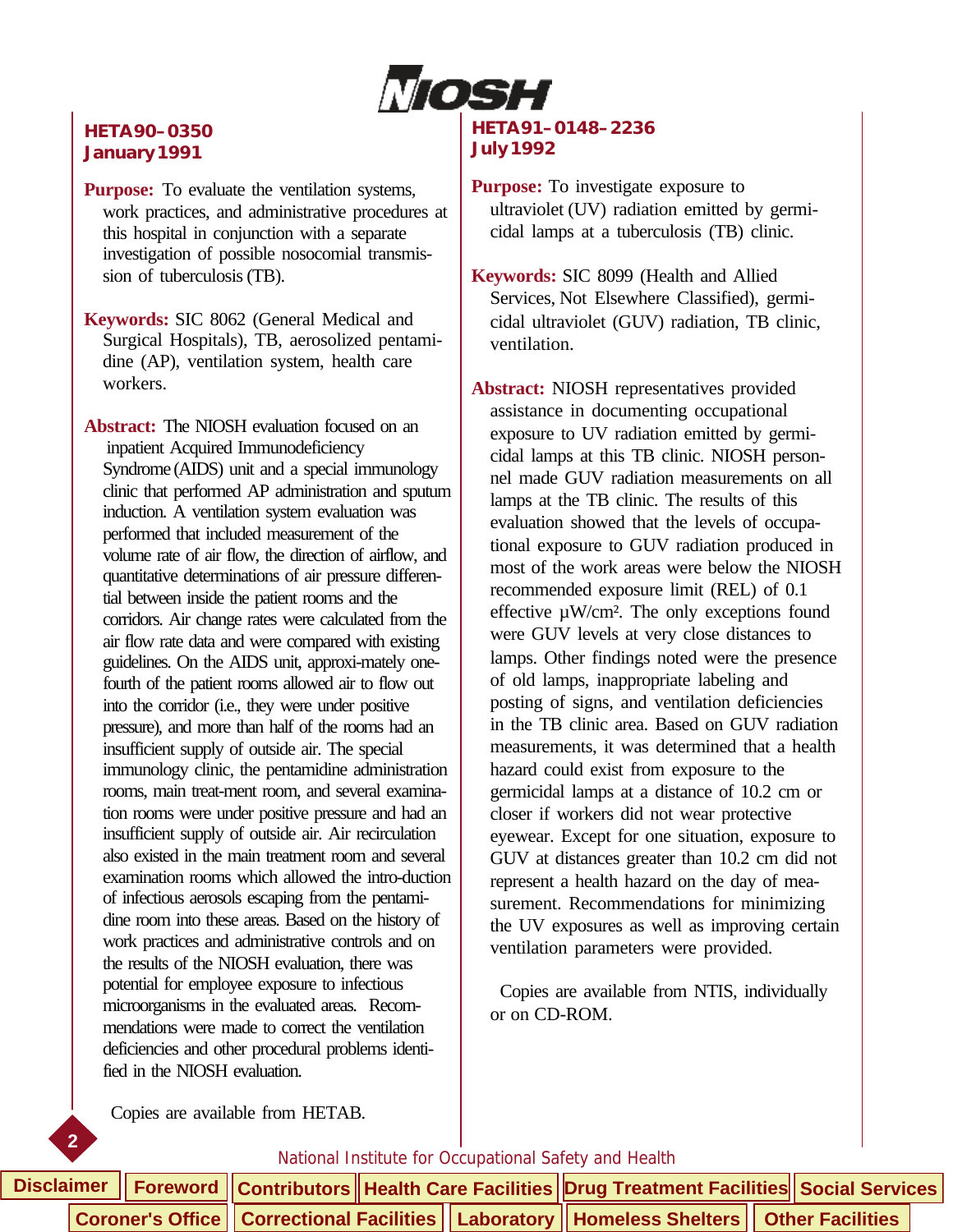

#### **HETA 90–0350 January 1991**

**Purpose:** To evaluate the ventilation systems, work practices, and administrative procedures at this hospital in conjunction with a separate investigation of possible nosocomial transmission of tuberculosis (TB).

**Keywords:** SIC 8062 (General Medical and Surgical Hospitals), TB, aerosolized pentamidine (AP), ventilation system, health care workers.

**Abstract:** The NIOSH evaluation focused on an inpatient Acquired Immunodeficiency Syndrome (AIDS) unit and a special immunology clinic that performed AP administration and sputum induction. A ventilation system evaluation was performed that included measurement of the volume rate of air flow, the direction of airflow, and quantitative determinations of air pressure differential between inside the patient rooms and the corridors. Air change rates were calculated from the air flow rate data and were compared with existing guidelines. On the AIDS unit, approxi-mately onefourth of the patient rooms allowed air to flow out into the corridor (i.e., they were under positive pressure), and more than half of the rooms had an insufficient supply of outside air. The special immunology clinic, the pentamidine administration rooms, main treat-ment room, and several examination rooms were under positive pressure and had an insufficient supply of outside air. Air recirculation also existed in the main treatment room and several examination rooms which allowed the intro-duction of infectious aerosols escaping from the pentamidine room into these areas. Based on the history of work practices and administrative controls and on the results of the NIOSH evaluation, there was potential for employee exposure to infectious microorganisms in the evaluated areas. Recommendations were made to correct the ventilation deficiencies and other procedural problems identified in the NIOSH evaluation.

#### **HETA 91–0148–2236 July 1992**

**Purpose:** To investigate exposure to ultraviolet (UV) radiation emitted by germicidal lamps at a tuberculosis (TB) clinic.

**Keywords:** SIC 8099 (Health and Allied Services, Not Elsewhere Classified), germicidal ultraviolet (GUV) radiation, TB clinic, ventilation.

**Abstract:** NIOSH representatives provided assistance in documenting occupational exposure to UV radiation emitted by germicidal lamps at this TB clinic. NIOSH personnel made GUV radiation measurements on all lamps at the TB clinic. The results of this evaluation showed that the levels of occupational exposure to GUV radiation produced in most of the work areas were below the NIOSH recommended exposure limit (REL) of 0.1 effective  $\mu$ W/cm<sup>2</sup>. The only exceptions found were GUV levels at very close distances to lamps. Other findings noted were the presence of old lamps, inappropriate labeling and posting of signs, and ventilation deficiencies in the TB clinic area. Based on GUV radiation measurements, it was determined that a health hazard could exist from exposure to the germicidal lamps at a distance of 10.2 cm or closer if workers did not wear protective eyewear. Except for one situation, exposure to GUV at distances greater than 10.2 cm did not represent a health hazard on the day of measurement. Recommendations for minimizing the UV exposures as well as improving certain ventilation parameters were provided.

 Copies are available from NTIS, individually or on CD-ROM.

Copies are available from HETAB.

**2**

|  | Disclaimer │ Foreword │ Contributors│ Health Care Facilities│Drug Treatment Facilities│ Social Services│ |  |  |  |  |
|--|----------------------------------------------------------------------------------------------------------|--|--|--|--|
|  | Coroner's Office   Correctional Facilities   Laboratory   Homeless Shelters   Other Facilities           |  |  |  |  |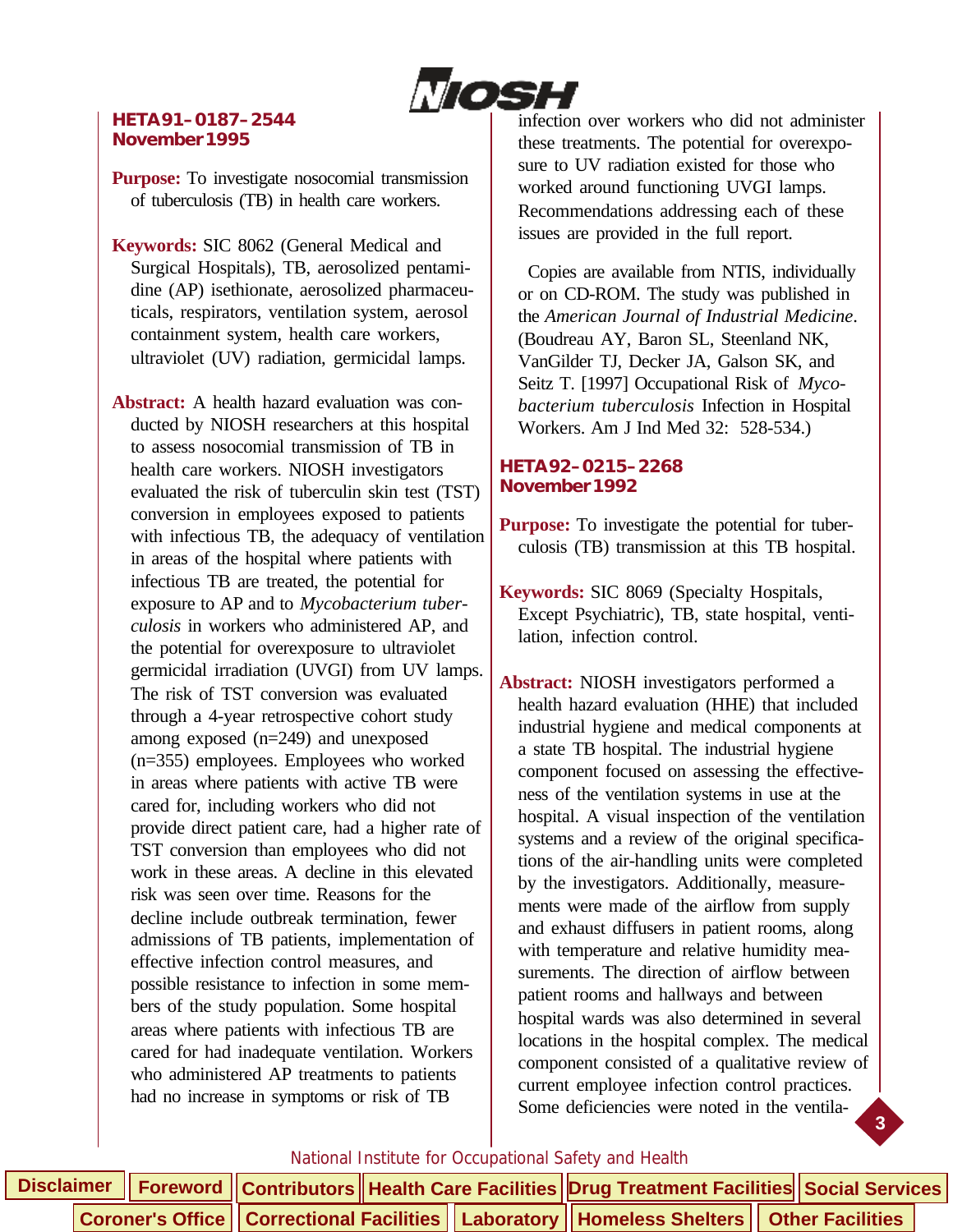

#### **HETA 91–0187–2544 November 1995**

**Purpose:** To investigate nosocomial transmission of tuberculosis (TB) in health care workers.

**Keywords:** SIC 8062 (General Medical and Surgical Hospitals), TB, aerosolized pentamidine (AP) isethionate, aerosolized pharmaceuticals, respirators, ventilation system, aerosol containment system, health care workers, ultraviolet (UV) radiation, germicidal lamps.

**Abstract:** A health hazard evaluation was conducted by NIOSH researchers at this hospital to assess nosocomial transmission of TB in health care workers. NIOSH investigators evaluated the risk of tuberculin skin test (TST) conversion in employees exposed to patients with infectious TB, the adequacy of ventilation in areas of the hospital where patients with infectious TB are treated, the potential for exposure to AP and to *Mycobacterium tuberculosis* in workers who administered AP, and the potential for overexposure to ultraviolet germicidal irradiation (UVGI) from UV lamps. The risk of TST conversion was evaluated through a 4-year retrospective cohort study among exposed (n=249) and unexposed (n=355) employees. Employees who worked in areas where patients with active TB were cared for, including workers who did not provide direct patient care, had a higher rate of TST conversion than employees who did not work in these areas. A decline in this elevated risk was seen over time. Reasons for the decline include outbreak termination, fewer admissions of TB patients, implementation of effective infection control measures, and possible resistance to infection in some members of the study population. Some hospital areas where patients with infectious TB are cared for had inadequate ventilation. Workers who administered AP treatments to patients had no increase in symptoms or risk of TB

infection over workers who did not administer these treatments. The potential for overexposure to UV radiation existed for those who worked around functioning UVGI lamps. Recommendations addressing each of these issues are provided in the full report.

 Copies are available from NTIS, individually or on CD-ROM. The study was published in the *American Journal of Industrial Medicine*. (Boudreau AY, Baron SL, Steenland NK, VanGilder TJ, Decker JA, Galson SK, and Seitz T. [1997] Occupational Risk of *Mycobacterium tuberculosis* Infection in Hospital Workers. Am J Ind Med 32: 528-534.)

#### **HETA 92–0215–2268 November 1992**

- **Purpose:** To investigate the potential for tuberculosis (TB) transmission at this TB hospital.
- **Keywords:** SIC 8069 (Specialty Hospitals, Except Psychiatric), TB, state hospital, ventilation, infection control.
- **Abstract:** NIOSH investigators performed a health hazard evaluation (HHE) that included industrial hygiene and medical components at a state TB hospital. The industrial hygiene component focused on assessing the effectiveness of the ventilation systems in use at the hospital. A visual inspection of the ventilation systems and a review of the original specifications of the air-handling units were completed by the investigators. Additionally, measurements were made of the airflow from supply and exhaust diffusers in patient rooms, along with temperature and relative humidity measurements. The direction of airflow between patient rooms and hallways and between hospital wards was also determined in several locations in the hospital complex. The medical component consisted of a qualitative review of current employee infection control practices. Some deficiencies were noted in the ventila-

**3**

|  |  |  |                                                                                                    | Disclaimer   Foreword   Contributors   Health Care Facilities Drug Treatment Facilities Social Services |  |  |
|--|--|--|----------------------------------------------------------------------------------------------------|---------------------------------------------------------------------------------------------------------|--|--|
|  |  |  | Coroner's Office    Correctional Facilities    Laboratory    Homeless Shelters    Other Facilities |                                                                                                         |  |  |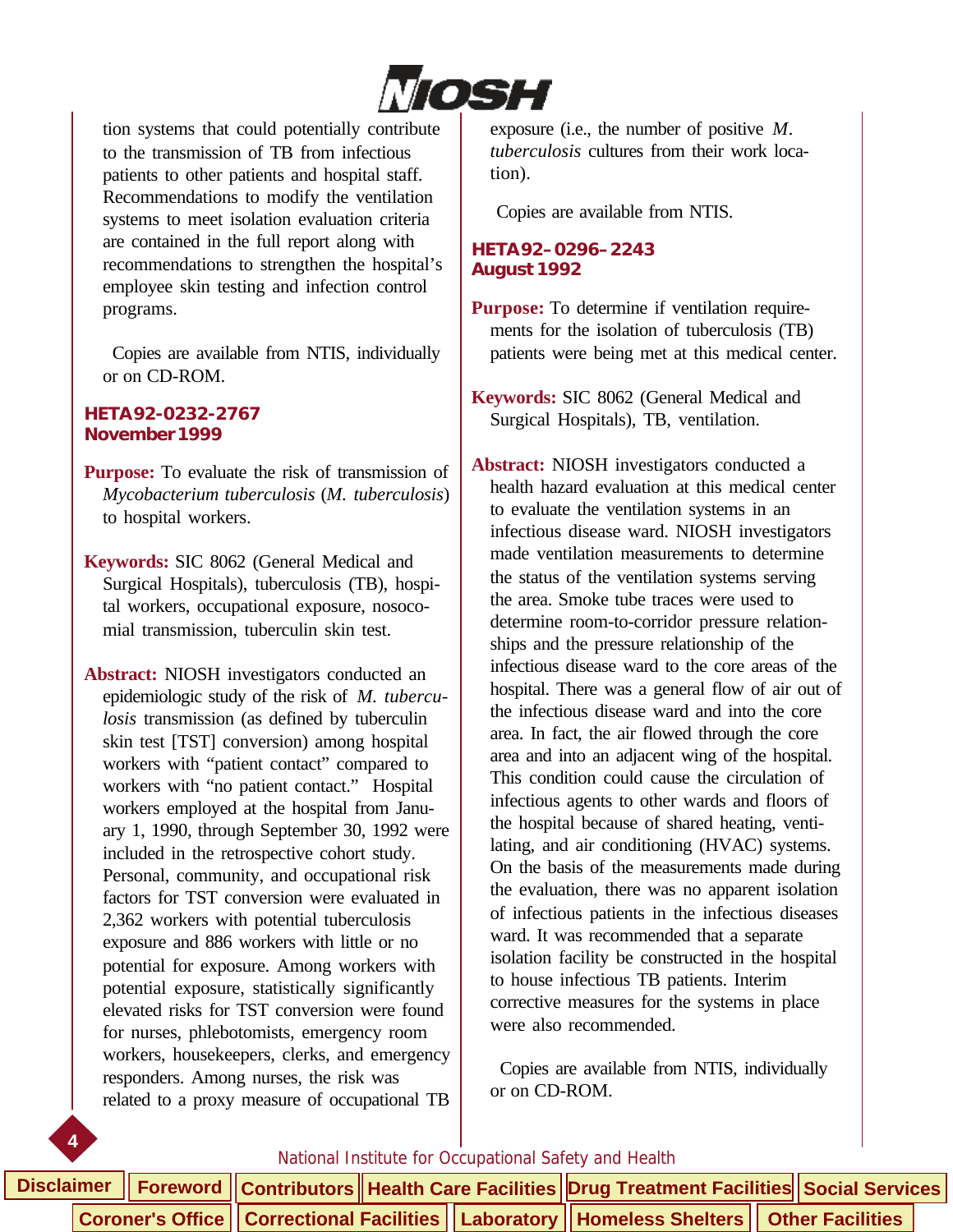

tion systems that could potentially contribute to the transmission of TB from infectious patients to other patients and hospital staff. Recommendations to modify the ventilation systems to meet isolation evaluation criteria are contained in the full report along with recommendations to strengthen the hospital's employee skin testing and infection control programs.

 Copies are available from NTIS, individually or on CD-ROM.

#### **HETA 92-0232-2767 November 1999**

**Purpose:** To evaluate the risk of transmission of *Mycobacterium tuberculosis* (*M. tuberculosis*) to hospital workers.

**Keywords:** SIC 8062 (General Medical and Surgical Hospitals), tuberculosis (TB), hospital workers, occupational exposure, nosocomial transmission, tuberculin skin test.

**Abstract:** NIOSH investigators conducted an epidemiologic study of the risk of *M. tuberculosis* transmission (as defined by tuberculin skin test [TST] conversion) among hospital workers with "patient contact" compared to workers with "no patient contact." Hospital workers employed at the hospital from January 1, 1990, through September 30, 1992 were included in the retrospective cohort study. Personal, community, and occupational risk factors for TST conversion were evaluated in 2,362 workers with potential tuberculosis exposure and 886 workers with little or no potential for exposure. Among workers with potential exposure, statistically significantly elevated risks for TST conversion were found for nurses, phlebotomists, emergency room workers, housekeepers, clerks, and emergency responders. Among nurses, the risk was related to a proxy measure of occupational TB exposure (i.e., the number of positive *M. tuberculosis* cultures from their work location).

Copies are available from NTIS.

#### **HETA 92–0296–2243 August 1992**

**Purpose:** To determine if ventilation requirements for the isolation of tuberculosis (TB) patients were being met at this medical center.

**Keywords:** SIC 8062 (General Medical and Surgical Hospitals), TB, ventilation.

**Abstract:** NIOSH investigators conducted a health hazard evaluation at this medical center to evaluate the ventilation systems in an infectious disease ward. NIOSH investigators made ventilation measurements to determine the status of the ventilation systems serving the area. Smoke tube traces were used to determine room-to-corridor pressure relationships and the pressure relationship of the infectious disease ward to the core areas of the hospital. There was a general flow of air out of the infectious disease ward and into the core area. In fact, the air flowed through the core area and into an adjacent wing of the hospital. This condition could cause the circulation of infectious agents to other wards and floors of the hospital because of shared heating, ventilating, and air conditioning (HVAC) systems. On the basis of the measurements made during the evaluation, there was no apparent isolation of infectious patients in the infectious diseases ward. It was recommended that a separate isolation facility be constructed in the hospital to house infectious TB patients. Interim corrective measures for the systems in place were also recommended.

 Copies are available from NTIS, individually or on CD-ROM.



|  |  |  | Disclaimer    Foreword    Contributors    Health Care Facilities   Drug Treatment Facilities    Social Services |  |  |
|--|--|--|-----------------------------------------------------------------------------------------------------------------|--|--|
|  |  |  | Coroner's Office   Correctional Facilities   Laboratory   Homeless Shelters   Other Facilities                  |  |  |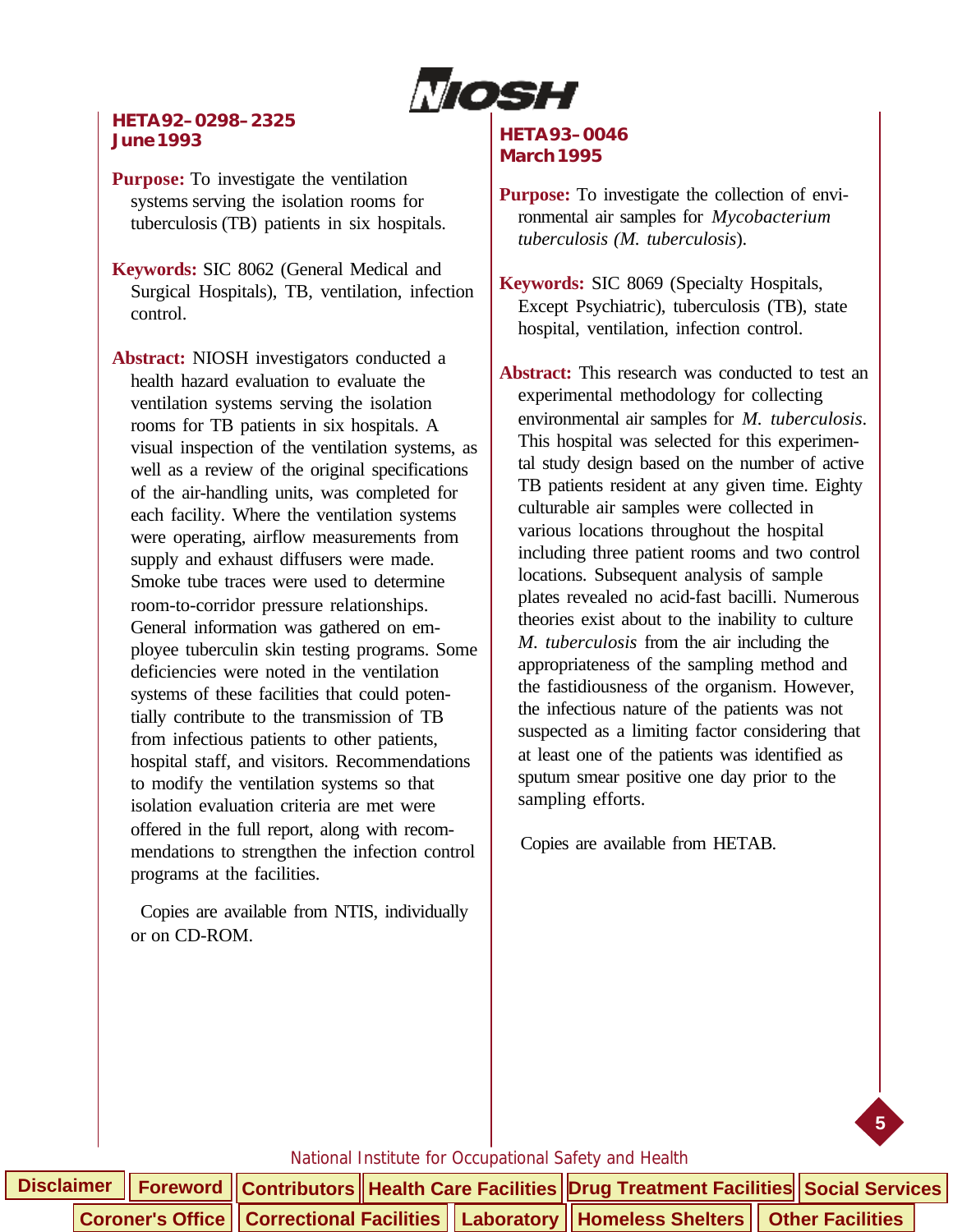

#### **HETA 92–0298–2325 June 1993**

**Purpose:** To investigate the ventilation systems serving the isolation rooms for tuberculosis (TB) patients in six hospitals.

**Keywords:** SIC 8062 (General Medical and Surgical Hospitals), TB, ventilation, infection control.

**Abstract:** NIOSH investigators conducted a health hazard evaluation to evaluate the ventilation systems serving the isolation rooms for TB patients in six hospitals. A visual inspection of the ventilation systems, as well as a review of the original specifications of the air-handling units, was completed for each facility. Where the ventilation systems were operating, airflow measurements from supply and exhaust diffusers were made. Smoke tube traces were used to determine room-to-corridor pressure relationships. General information was gathered on employee tuberculin skin testing programs. Some deficiencies were noted in the ventilation systems of these facilities that could potentially contribute to the transmission of TB from infectious patients to other patients, hospital staff, and visitors. Recommendations to modify the ventilation systems so that isolation evaluation criteria are met were offered in the full report, along with recommendations to strengthen the infection control programs at the facilities.

 Copies are available from NTIS, individually or on CD-ROM.

#### **HETA 93–0046 March 1995**

**Purpose:** To investigate the collection of environmental air samples for *Mycobacterium tuberculosis (M. tuberculosis*).

**Keywords:** SIC 8069 (Specialty Hospitals, Except Psychiatric), tuberculosis (TB), state hospital, ventilation, infection control.

**Abstract:** This research was conducted to test an experimental methodology for collecting environmental air samples for *M. tuberculosis*. This hospital was selected for this experimental study design based on the number of active TB patients resident at any given time. Eighty culturable air samples were collected in various locations throughout the hospital including three patient rooms and two control locations. Subsequent analysis of sample plates revealed no acid-fast bacilli. Numerous theories exist about to the inability to culture *M. tuberculosis* from the air including the appropriateness of the sampling method and the fastidiousness of the organism. However, the infectious nature of the patients was not suspected as a limiting factor considering that at least one of the patients was identified as sputum smear positive one day prior to the sampling efforts.

Copies are available from HETAB.

**5**

|  |  |  |  | Disclaimer   Foreword   Contributors   Health Care Facilities   Drug Treatment Facilities   Social Services                                                     |  |
|--|--|--|--|-----------------------------------------------------------------------------------------------------------------------------------------------------------------|--|
|  |  |  |  | $\vert$ Coroner's Office $\vert\vert$ Correctional Facilities $\vert\vert$ Laboratory $\vert\vert$ Homeless Shelters $\vert\vert$ Other Facilities $\vert\vert$ |  |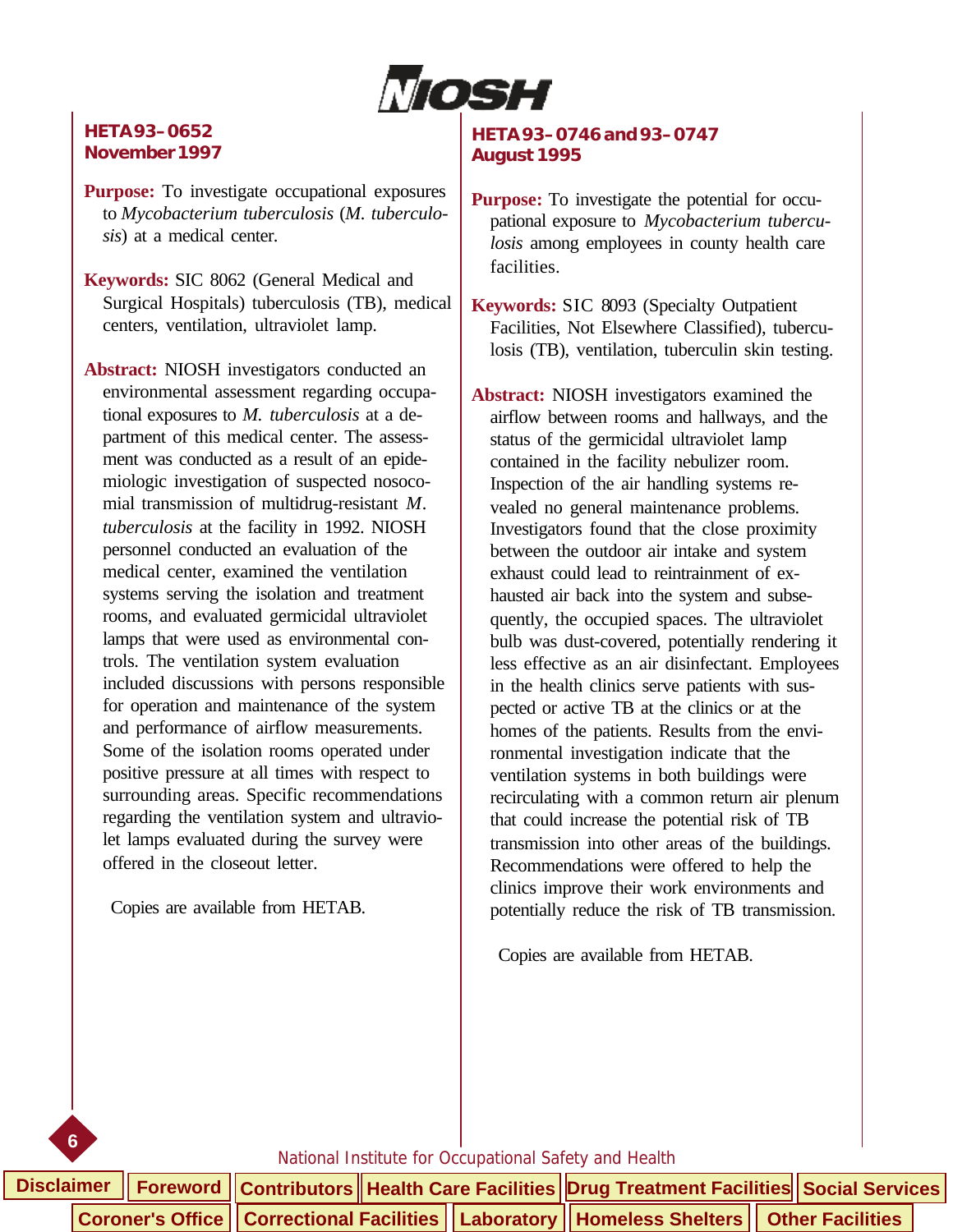

#### **HETA 93–0652 November 1997**

**Purpose:** To investigate occupational exposures to *Mycobacterium tuberculosis* (*M. tuberculosis*) at a medical center.

**Keywords:** SIC 8062 (General Medical and Surgical Hospitals) tuberculosis (TB), medical centers, ventilation, ultraviolet lamp.

**Abstract:** NIOSH investigators conducted an environmental assessment regarding occupational exposures to *M. tuberculosis* at a department of this medical center. The assessment was conducted as a result of an epidemiologic investigation of suspected nosocomial transmission of multidrug-resistant *M. tuberculosis* at the facility in 1992. NIOSH personnel conducted an evaluation of the medical center, examined the ventilation systems serving the isolation and treatment rooms, and evaluated germicidal ultraviolet lamps that were used as environmental controls. The ventilation system evaluation included discussions with persons responsible for operation and maintenance of the system and performance of airflow measurements. Some of the isolation rooms operated under positive pressure at all times with respect to surrounding areas. Specific recommendations regarding the ventilation system and ultraviolet lamps evaluated during the survey were offered in the closeout letter.

Copies are available from HETAB.

**6**

#### **HETA 93–0746 and 93–0747 August 1995**

- **Purpose:** To investigate the potential for occupational exposure to *Mycobacterium tuberculosis* among employees in county health care facilities.
- **Keywords:** SIC 8093 (Specialty Outpatient Facilities, Not Elsewhere Classified), tuberculosis (TB), ventilation, tuberculin skin testing.
- **Abstract:** NIOSH investigators examined the airflow between rooms and hallways, and the status of the germicidal ultraviolet lamp contained in the facility nebulizer room. Inspection of the air handling systems revealed no general maintenance problems. Investigators found that the close proximity between the outdoor air intake and system exhaust could lead to reintrainment of exhausted air back into the system and subsequently, the occupied spaces. The ultraviolet bulb was dust-covered, potentially rendering it less effective as an air disinfectant. Employees in the health clinics serve patients with suspected or active TB at the clinics or at the homes of the patients. Results from the environmental investigation indicate that the ventilation systems in both buildings were recirculating with a common return air plenum that could increase the potential risk of TB transmission into other areas of the buildings. Recommendations were offered to help the clinics improve their work environments and potentially reduce the risk of TB transmission.

Copies are available from HETAB.

|  |  |  |  | Disclaimer │ Foreword │ Contributors │ Health Care Facilities │ Drug Treatment Facilities│ Social Services |  |  |
|--|--|--|--|------------------------------------------------------------------------------------------------------------|--|--|
|  |  |  |  | Coroner's Office    Correctional Facilities    Laboratory    Homeless Shelters    Other Facilities         |  |  |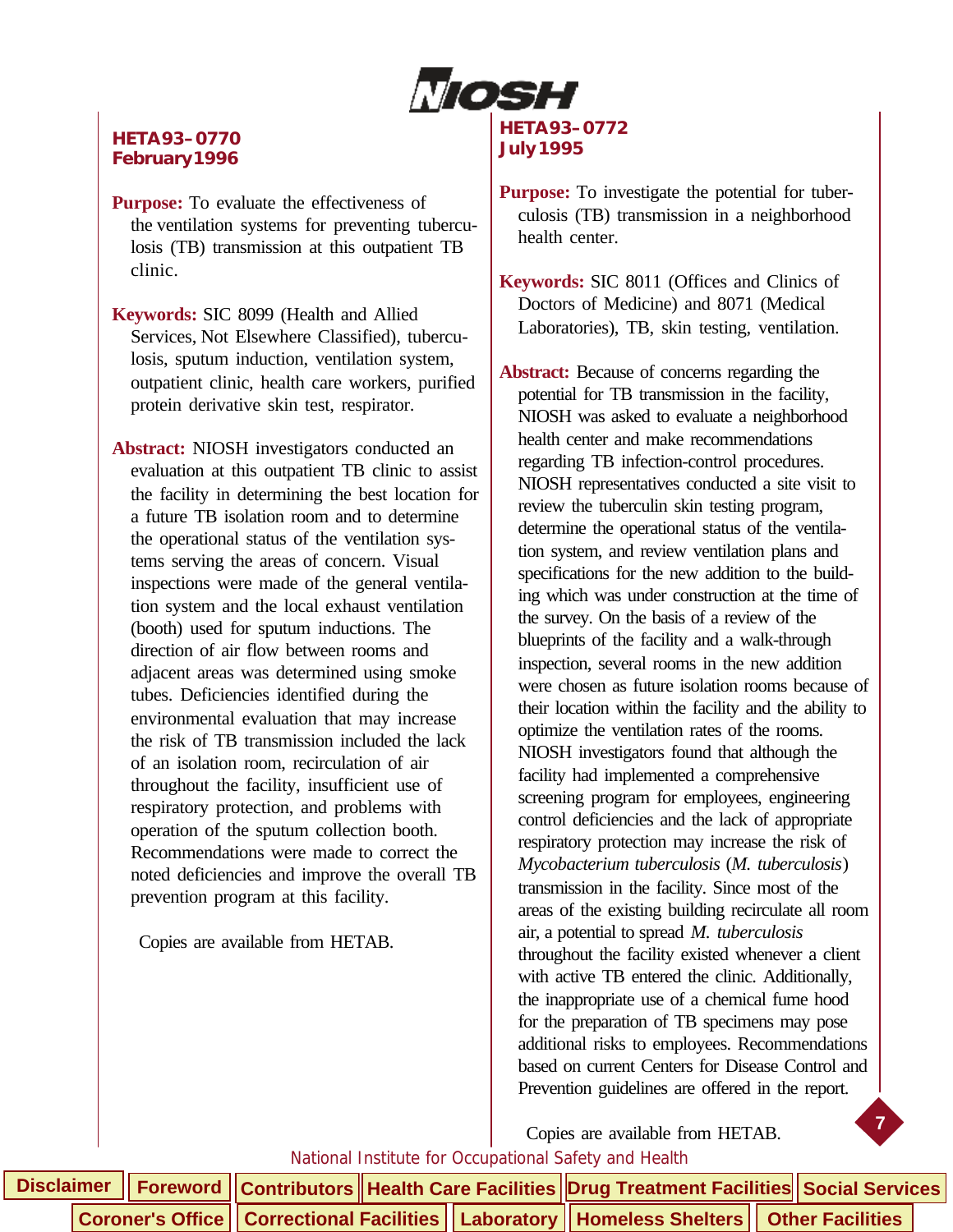

#### **HETA 93–0770 February 1996**

- **Purpose:** To evaluate the effectiveness of the ventilation systems for preventing tuberculosis (TB) transmission at this outpatient TB clinic.
- **Keywords:** SIC 8099 (Health and Allied Services, Not Elsewhere Classified), tuberculosis, sputum induction, ventilation system, outpatient clinic, health care workers, purified protein derivative skin test, respirator.
- **Abstract:** NIOSH investigators conducted an evaluation at this outpatient TB clinic to assist the facility in determining the best location for a future TB isolation room and to determine the operational status of the ventilation systems serving the areas of concern. Visual inspections were made of the general ventilation system and the local exhaust ventilation (booth) used for sputum inductions. The direction of air flow between rooms and adjacent areas was determined using smoke tubes. Deficiencies identified during the environmental evaluation that may increase the risk of TB transmission included the lack of an isolation room, recirculation of air throughout the facility, insufficient use of respiratory protection, and problems with operation of the sputum collection booth. Recommendations were made to correct the noted deficiencies and improve the overall TB prevention program at this facility.

Copies are available from HETAB.

#### **HETA 93–0772 July 1995**

- **Purpose:** To investigate the potential for tuberculosis (TB) transmission in a neighborhood health center.
- **Keywords:** SIC 8011 (Offices and Clinics of Doctors of Medicine) and 8071 (Medical Laboratories), TB, skin testing, ventilation.
- **Abstract:** Because of concerns regarding the potential for TB transmission in the facility, NIOSH was asked to evaluate a neighborhood health center and make recommendations regarding TB infection-control procedures. NIOSH representatives conducted a site visit to review the tuberculin skin testing program, determine the operational status of the ventilation system, and review ventilation plans and specifications for the new addition to the building which was under construction at the time of the survey. On the basis of a review of the blueprints of the facility and a walk-through inspection, several rooms in the new addition were chosen as future isolation rooms because of their location within the facility and the ability to optimize the ventilation rates of the rooms. NIOSH investigators found that although the facility had implemented a comprehensive screening program for employees, engineering control deficiencies and the lack of appropriate respiratory protection may increase the risk of *Mycobacterium tuberculosis* (*M. tuberculosis*) transmission in the facility. Since most of the areas of the existing building recirculate all room air, a potential to spread *M. tuberculosis* throughout the facility existed whenever a client with active TB entered the clinic. Additionally, the inappropriate use of a chemical fume hood for the preparation of TB specimens may pose additional risks to employees. Recommendations based on current Centers for Disease Control and Prevention guidelines are offered in the report.

Copies are available from HETAB.

**7**

|  |  |  |  |  | Disclaimer    Foreword    Contributors    Health Care Facilities    Drug Treatment Facilities    Social Services |  |
|--|--|--|--|--|------------------------------------------------------------------------------------------------------------------|--|
|  |  |  |  |  | Coroner's Office    Correctional Facilities    Laboratory    Homeless Shelters    Other Facilities               |  |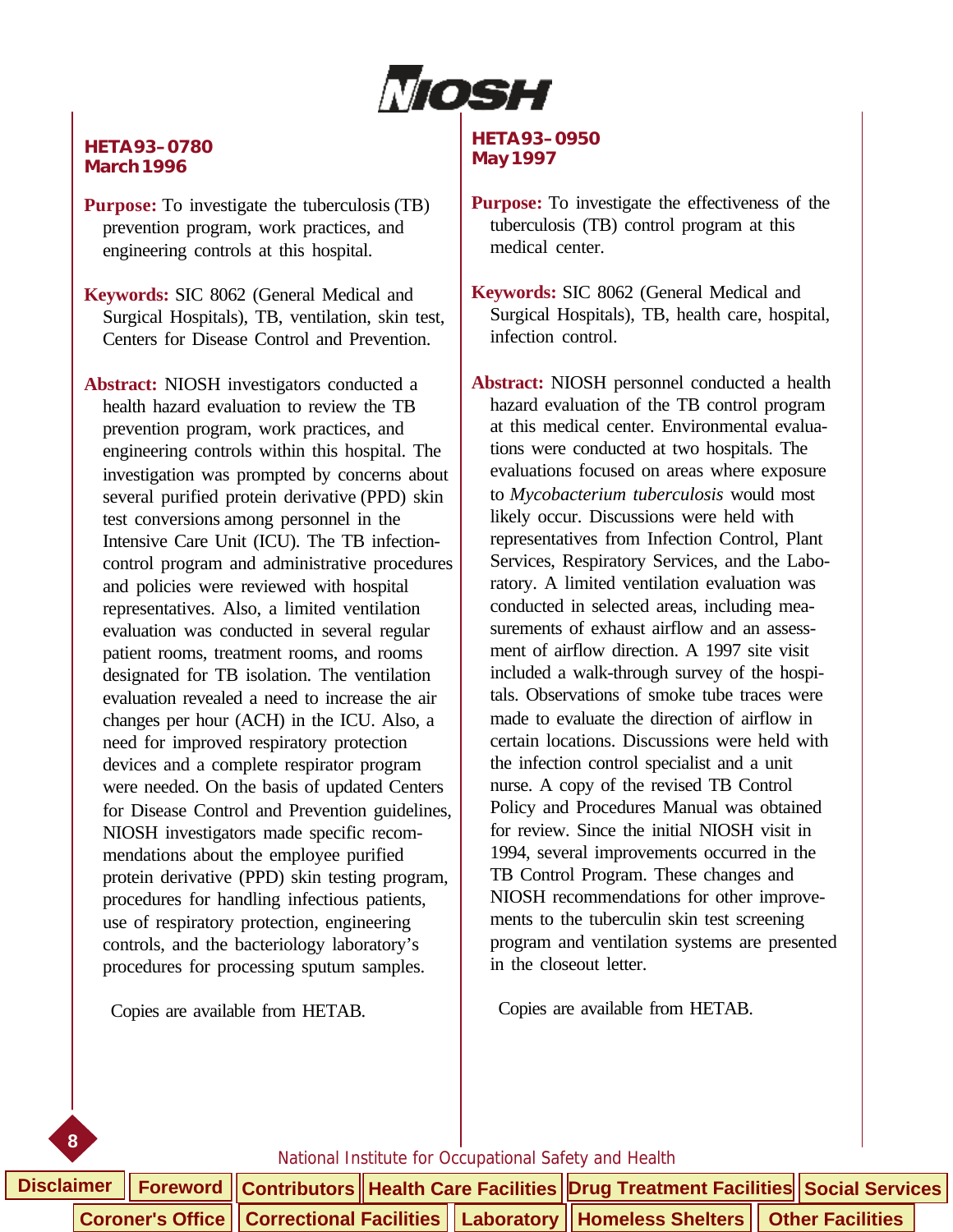

#### **HETA 93–0780 March 1996**

**Purpose:** To investigate the tuberculosis (TB) prevention program, work practices, and engineering controls at this hospital.

**Keywords:** SIC 8062 (General Medical and Surgical Hospitals), TB, ventilation, skin test, Centers for Disease Control and Prevention.

**Abstract:** NIOSH investigators conducted a health hazard evaluation to review the TB prevention program, work practices, and engineering controls within this hospital. The investigation was prompted by concerns about several purified protein derivative (PPD) skin test conversions among personnel in the Intensive Care Unit (ICU). The TB infectioncontrol program and administrative procedures and policies were reviewed with hospital representatives. Also, a limited ventilation evaluation was conducted in several regular patient rooms, treatment rooms, and rooms designated for TB isolation. The ventilation evaluation revealed a need to increase the air changes per hour (ACH) in the ICU. Also, a need for improved respiratory protection devices and a complete respirator program were needed. On the basis of updated Centers for Disease Control and Prevention guidelines, NIOSH investigators made specific recommendations about the employee purified protein derivative (PPD) skin testing program, procedures for handling infectious patients, use of respiratory protection, engineering controls, and the bacteriology laboratory's procedures for processing sputum samples.

Copies are available from HETAB.

**8**

#### **HETA 93–0950 May 1997**

- **Purpose:** To investigate the effectiveness of the tuberculosis (TB) control program at this medical center.
- **Keywords:** SIC 8062 (General Medical and Surgical Hospitals), TB, health care, hospital, infection control.

**Abstract:** NIOSH personnel conducted a health hazard evaluation of the TB control program at this medical center. Environmental evaluations were conducted at two hospitals. The evaluations focused on areas where exposure to *Mycobacterium tuberculosis* would most likely occur. Discussions were held with representatives from Infection Control, Plant Services, Respiratory Services, and the Laboratory. A limited ventilation evaluation was conducted in selected areas, including measurements of exhaust airflow and an assessment of airflow direction. A 1997 site visit included a walk-through survey of the hospitals. Observations of smoke tube traces were made to evaluate the direction of airflow in certain locations. Discussions were held with the infection control specialist and a unit nurse. A copy of the revised TB Control Policy and Procedures Manual was obtained for review. Since the initial NIOSH visit in 1994, several improvements occurred in the TB Control Program. These changes and NIOSH recommendations for other improvements to the tuberculin skin test screening program and ventilation systems are presented in the closeout letter.

Copies are available from HETAB.

|  |  |  | Disclaimer    Foreword    Contributors    Health Care Facilities  Drug Treatment Facilities    Social Services |  |  |
|--|--|--|----------------------------------------------------------------------------------------------------------------|--|--|
|  |  |  | Coroner's Office    Correctional Facilities    Laboratory    Homeless Shelters    Other Facilities             |  |  |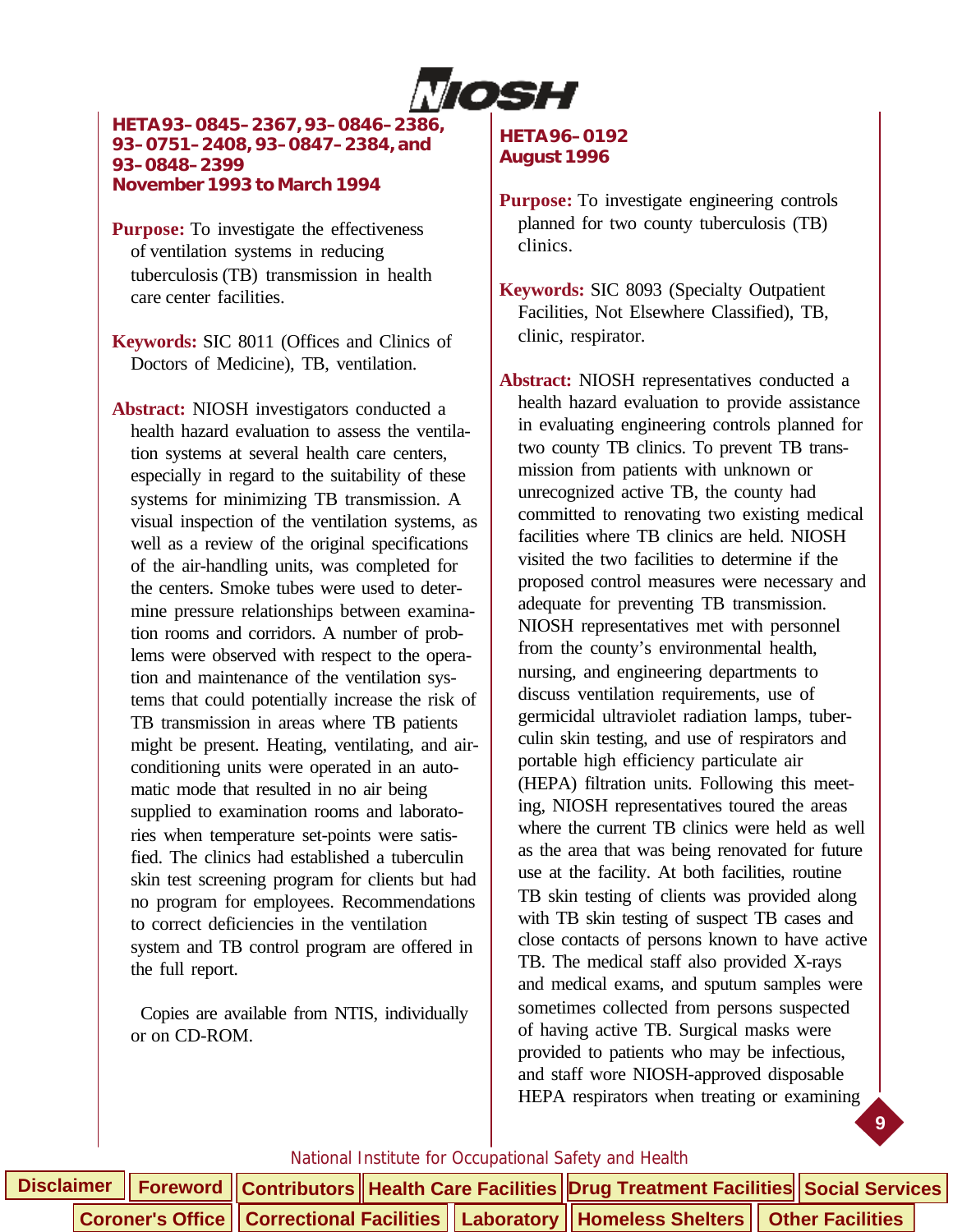

**HETA 93–0845–2367, 93–0846–2386, 93–0751–2408, 93–0847–2384, and 93–0848–2399 November 1993 to March 1994**

**Purpose:** To investigate the effectiveness of ventilation systems in reducing tuberculosis (TB) transmission in health care center facilities.

**Keywords:** SIC 8011 (Offices and Clinics of Doctors of Medicine), TB, ventilation.

**Abstract:** NIOSH investigators conducted a health hazard evaluation to assess the ventilation systems at several health care centers, especially in regard to the suitability of these systems for minimizing TB transmission. A visual inspection of the ventilation systems, as well as a review of the original specifications of the air-handling units, was completed for the centers. Smoke tubes were used to determine pressure relationships between examination rooms and corridors. A number of problems were observed with respect to the operation and maintenance of the ventilation systems that could potentially increase the risk of TB transmission in areas where TB patients might be present. Heating, ventilating, and airconditioning units were operated in an automatic mode that resulted in no air being supplied to examination rooms and laboratories when temperature set-points were satisfied. The clinics had established a tuberculin skin test screening program for clients but had no program for employees. Recommendations to correct deficiencies in the ventilation system and TB control program are offered in the full report.

 Copies are available from NTIS, individually or on CD-ROM.

#### **HETA 96–0192 August 1996**

- **Purpose:** To investigate engineering controls planned for two county tuberculosis (TB) clinics.
- **Keywords:** SIC 8093 (Specialty Outpatient Facilities, Not Elsewhere Classified), TB, clinic, respirator.

**Abstract:** NIOSH representatives conducted a health hazard evaluation to provide assistance in evaluating engineering controls planned for two county TB clinics. To prevent TB transmission from patients with unknown or unrecognized active TB, the county had committed to renovating two existing medical facilities where TB clinics are held. NIOSH visited the two facilities to determine if the proposed control measures were necessary and adequate for preventing TB transmission. NIOSH representatives met with personnel from the county's environmental health, nursing, and engineering departments to discuss ventilation requirements, use of germicidal ultraviolet radiation lamps, tuberculin skin testing, and use of respirators and portable high efficiency particulate air (HEPA) filtration units. Following this meeting, NIOSH representatives toured the areas where the current TB clinics were held as well as the area that was being renovated for future use at the facility. At both facilities, routine TB skin testing of clients was provided along with TB skin testing of suspect TB cases and close contacts of persons known to have active TB. The medical staff also provided X-rays and medical exams, and sputum samples were sometimes collected from persons suspected of having active TB. Surgical masks were provided to patients who may be infectious, and staff wore NIOSH-approved disposable HEPA respirators when treating or examining

**9**

|  |  |  | Disclaimer   Foreword   Contributors   Health Care Facilities   Drug Treatment Facilities   Social Services |  |
|--|--|--|-------------------------------------------------------------------------------------------------------------|--|
|  |  |  | Coroner's Office   Correctional Facilities   Laboratory   Homeless Shelters   Other Facilities              |  |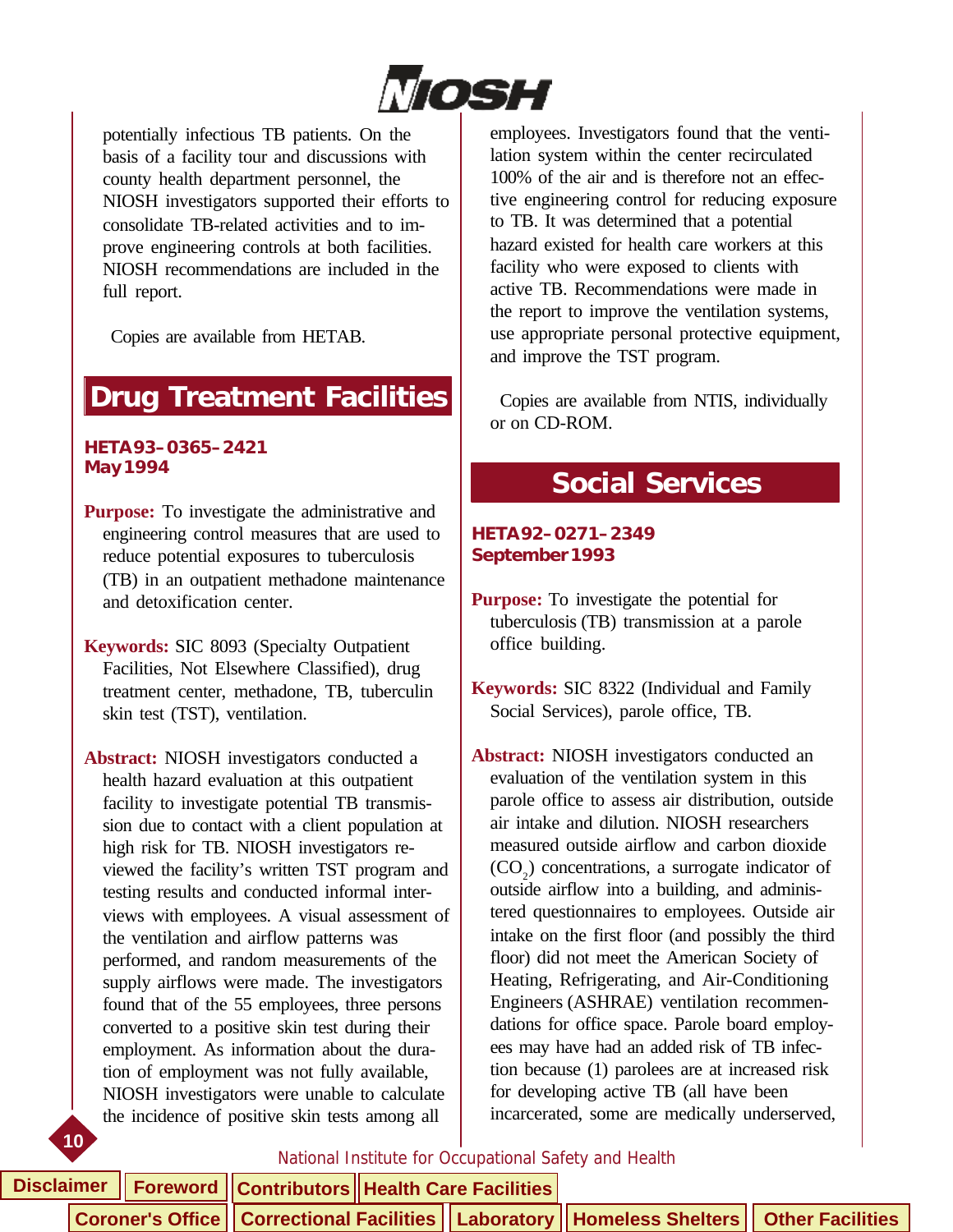

<span id="page-14-0"></span>potentially infectious TB patients. On the basis of a facility tour and discussions with county health department personnel, the NIOSH investigators supported their efforts to consolidate TB-related activities and to improve engineering controls at both facilities. NIOSH recommendations are included in the full report.

Copies are available from HETAB.

# **Drug Treatment Facilities**

#### **HETA 93–0365–2421 May 1994**

- **Purpose:** To investigate the administrative and engineering control measures that are used to reduce potential exposures to tuberculosis (TB) in an outpatient methadone maintenance and detoxification center.
- **Keywords:** SIC 8093 (Specialty Outpatient Facilities, Not Elsewhere Classified), drug treatment center, methadone, TB, tuberculin skin test (TST), ventilation.
- **Abstract:** NIOSH investigators conducted a health hazard evaluation at this outpatient facility to investigate potential TB transmission due to contact with a client population at high risk for TB. NIOSH investigators reviewed the facility's written TST program and testing results and conducted informal interviews with employees. A visual assessment of the ventilation and airflow patterns was performed, and random measurements of the supply airflows were made. The investigators found that of the 55 employees, three persons converted to a positive skin test during their employment. As information about the duration of employment was not fully available, NIOSH investigators were unable to calculate the incidence of positive skin tests among all

**10**

employees. Investigators found that the ventilation system within the center recirculated 100% of the air and is therefore not an effective engineering control for reducing exposure to TB. It was determined that a potential hazard existed for health care workers at this facility who were exposed to clients with active TB. Recommendations were made in the report to improve the ventilation systems, use appropriate personal protective equipment, and improve the TST program.

 Copies are available from NTIS, individually or on CD-ROM.

# **Social Services**

#### **HETA 92–0271–2349 September 1993**

**Purpose:** To investigate the potential for tuberculosis (TB) transmission at a parole office building.

**Keywords:** SIC 8322 (Individual and Family Social Services), parole office, TB.

**Abstract:** NIOSH investigators conducted an evaluation of the ventilation system in this parole office to assess air distribution, outside air intake and dilution. NIOSH researchers measured outside airflow and carbon dioxide  $(CO<sub>2</sub>)$  concentrations, a surrogate indicator of outside airflow into a building, and administered questionnaires to employees. Outside air intake on the first floor (and possibly the third floor) did not meet the American Society of Heating, Refrigerating, and Air-Conditioning Engineers (ASHRAE) ventilation recommendations for office space. Parole board employees may have had an added risk of TB infection because (1) parolees are at increased risk for developing active TB (all have been incarcerated, some are medically underserved,

#### National Institute for Occupational Safety and Health

**Disclaimer Foreword Contributors Health Care Facilities**

**Coroner's Office | Correctional Facilities | Laboratory | Homeless Shelters | Other Facilities**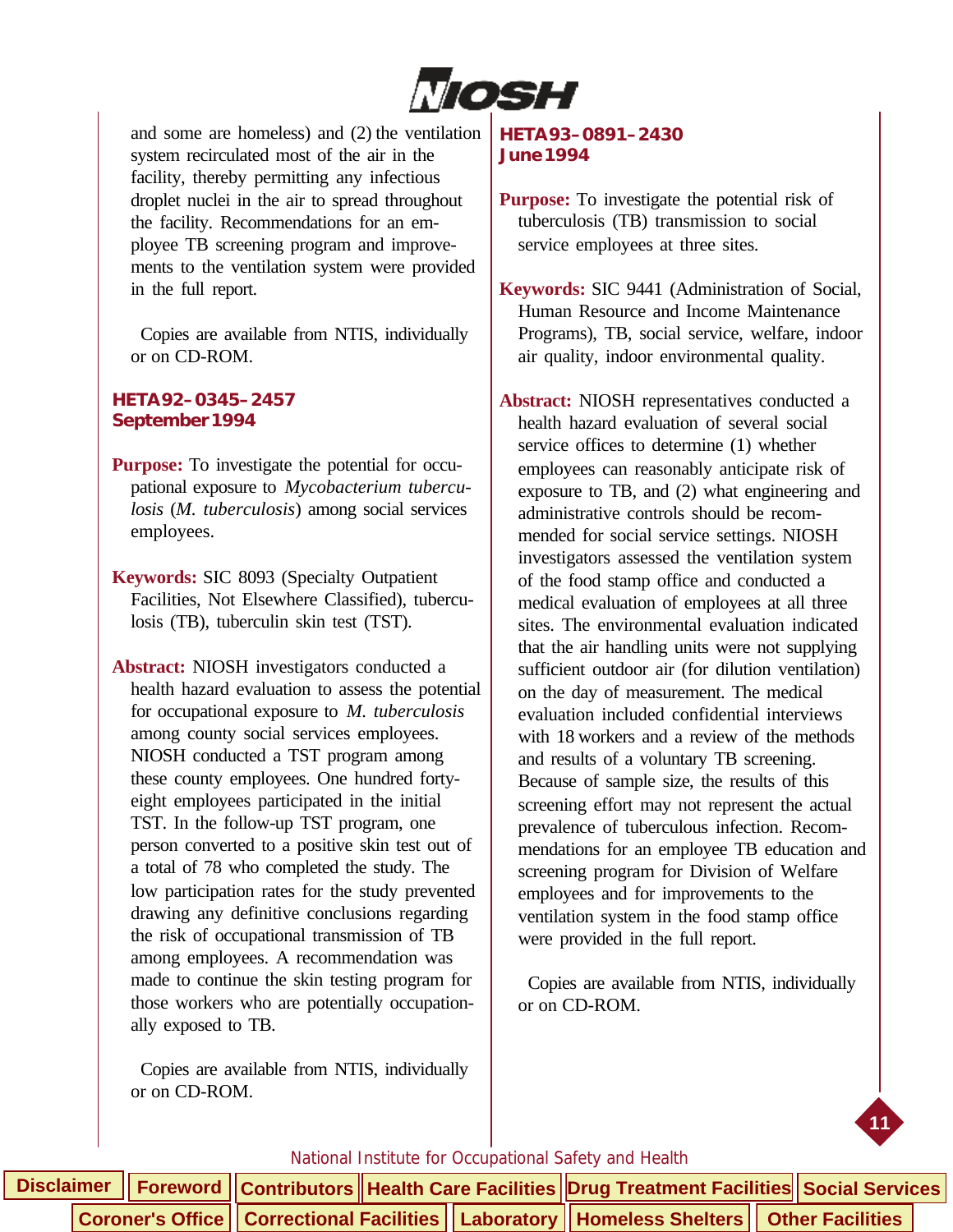

and some are homeless) and (2) the ventilation system recirculated most of the air in the facility, thereby permitting any infectious droplet nuclei in the air to spread throughout the facility. Recommendations for an employee TB screening program and improvements to the ventilation system were provided in the full report.

 Copies are available from NTIS, individually or on CD-ROM.

#### **HETA 92–0345–2457 September 1994**

**Purpose:** To investigate the potential for occupational exposure to *Mycobacterium tuberculosis* (*M. tuberculosis*) among social services employees.

**Keywords:** SIC 8093 (Specialty Outpatient Facilities, Not Elsewhere Classified), tuberculosis (TB), tuberculin skin test (TST).

**Abstract:** NIOSH investigators conducted a health hazard evaluation to assess the potential for occupational exposure to *M. tuberculosis* among county social services employees. NIOSH conducted a TST program among these county employees. One hundred fortyeight employees participated in the initial TST. In the follow-up TST program, one person converted to a positive skin test out of a total of 78 who completed the study. The low participation rates for the study prevented drawing any definitive conclusions regarding the risk of occupational transmission of TB among employees. A recommendation was made to continue the skin testing program for those workers who are potentially occupationally exposed to TB.

 Copies are available from NTIS, individually or on CD-ROM.

#### **HETA 93–0891–2430 June 1994**

- **Purpose:** To investigate the potential risk of tuberculosis (TB) transmission to social service employees at three sites.
- **Keywords:** SIC 9441 (Administration of Social, Human Resource and Income Maintenance Programs), TB, social service, welfare, indoor air quality, indoor environmental quality.

**Abstract:** NIOSH representatives conducted a health hazard evaluation of several social service offices to determine (1) whether employees can reasonably anticipate risk of exposure to TB, and (2) what engineering and administrative controls should be recommended for social service settings. NIOSH investigators assessed the ventilation system of the food stamp office and conducted a medical evaluation of employees at all three sites. The environmental evaluation indicated that the air handling units were not supplying sufficient outdoor air (for dilution ventilation) on the day of measurement. The medical evaluation included confidential interviews with 18 workers and a review of the methods and results of a voluntary TB screening. Because of sample size, the results of this screening effort may not represent the actual prevalence of tuberculous infection. Recommendations for an employee TB education and screening program for Division of Welfare employees and for improvements to the ventilation system in the food stamp office were provided in the full report.

 Copies are available from NTIS, individually or on CD-ROM.



|  |  |  | Disclaimer    Foreword    Contributors    Health Care Facilities    Drug Treatment Facilities    Social Services |  |  |
|--|--|--|------------------------------------------------------------------------------------------------------------------|--|--|
|  |  |  | Coroner's Office    Correctional Facilities    Laboratory    Homeless Shelters    Other Facilities               |  |  |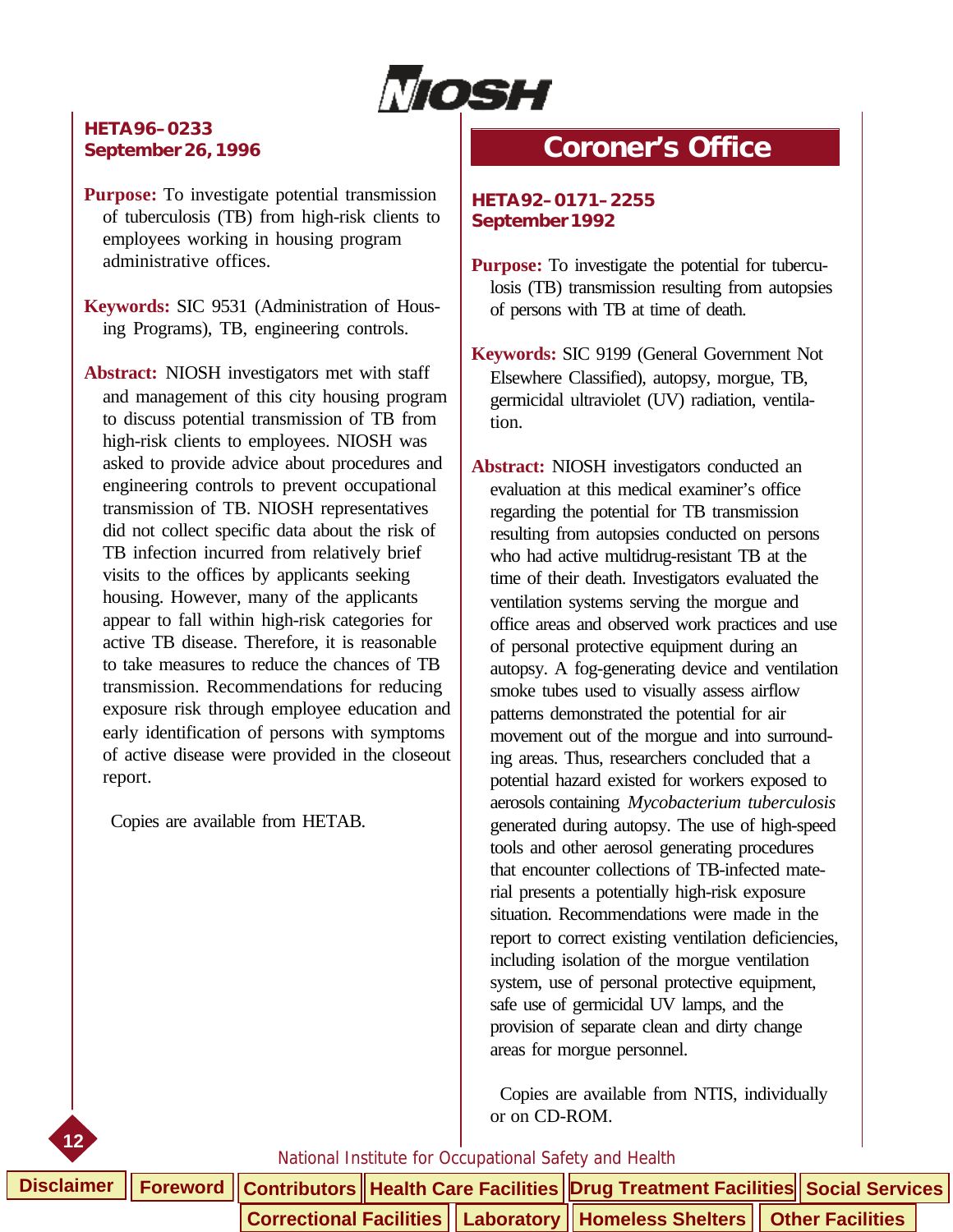

#### <span id="page-16-0"></span>**HETA 96–0233 September 26, 1996**

**Purpose:** To investigate potential transmission of tuberculosis (TB) from high-risk clients to employees working in housing program administrative offices.

**Keywords:** SIC 9531 (Administration of Housing Programs), TB, engineering controls.

**Abstract:** NIOSH investigators met with staff and management of this city housing program to discuss potential transmission of TB from high-risk clients to employees. NIOSH was asked to provide advice about procedures and engineering controls to prevent occupational transmission of TB. NIOSH representatives did not collect specific data about the risk of TB infection incurred from relatively brief visits to the offices by applicants seeking housing. However, many of the applicants appear to fall within high-risk categories for active TB disease. Therefore, it is reasonable to take measures to reduce the chances of TB transmission. Recommendations for reducing exposure risk through employee education and early identification of persons with symptoms of active disease were provided in the closeout report.

Copies are available from HETAB.

**12**

### **Coroner's Office**

**HETA 92–0171–2255 September 1992**

**Purpose:** To investigate the potential for tuberculosis (TB) transmission resulting from autopsies of persons with TB at time of death.

**Keywords:** SIC 9199 (General Government Not Elsewhere Classified), autopsy, morgue, TB, germicidal ultraviolet (UV) radiation, ventilation.

**Abstract:** NIOSH investigators conducted an evaluation at this medical examiner's office regarding the potential for TB transmission resulting from autopsies conducted on persons who had active multidrug-resistant TB at the time of their death. Investigators evaluated the ventilation systems serving the morgue and office areas and observed work practices and use of personal protective equipment during an autopsy. A fog-generating device and ventilation smoke tubes used to visually assess airflow patterns demonstrated the potential for air movement out of the morgue and into surrounding areas. Thus, researchers concluded that a potential hazard existed for workers exposed to aerosols containing *Mycobacterium tuberculosis* generated during autopsy. The use of high-speed tools and other aerosol generating procedures that encounter collections of TB-infected material presents a potentially high-risk exposure situation. Recommendations were made in the report to correct existing ventilation deficiencies, including isolation of the morgue ventilation system, use of personal protective equipment, safe use of germicidal UV lamps, and the provision of separate clean and dirty change areas for morgue personnel.

 Copies are available from NTIS, individually or on CD-ROM.

|  |  | Disclaimer    Foreword    Contributors    Health Care Facilities    Drug Treatment Facilities    Social Services |  |  |  |
|--|--|------------------------------------------------------------------------------------------------------------------|--|--|--|
|  |  | Correctional Facilities   Laboratory   Homeless Shelters   Other Facilities                                      |  |  |  |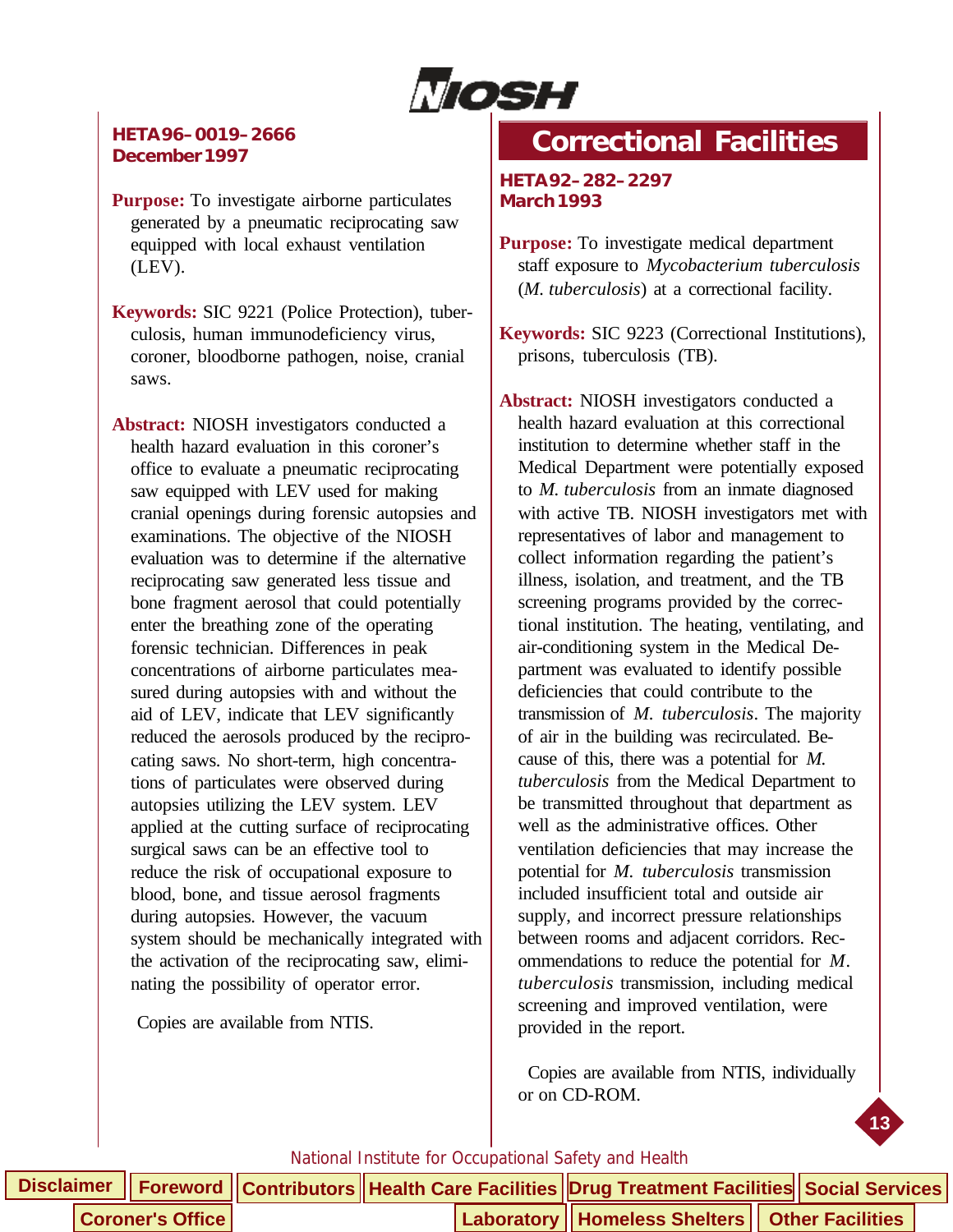

#### <span id="page-17-0"></span>**HETA 96–0019–2666 December 1997**

**Purpose:** To investigate airborne particulates generated by a pneumatic reciprocating saw equipped with local exhaust ventilation (LEV).

**Keywords:** SIC 9221 (Police Protection), tuberculosis, human immunodeficiency virus, coroner, bloodborne pathogen, noise, cranial saws.

**Abstract:** NIOSH investigators conducted a health hazard evaluation in this coroner's office to evaluate a pneumatic reciprocating saw equipped with LEV used for making cranial openings during forensic autopsies and examinations. The objective of the NIOSH evaluation was to determine if the alternative reciprocating saw generated less tissue and bone fragment aerosol that could potentially enter the breathing zone of the operating forensic technician. Differences in peak concentrations of airborne particulates measured during autopsies with and without the aid of LEV, indicate that LEV significantly reduced the aerosols produced by the reciprocating saws. No short-term, high concentrations of particulates were observed during autopsies utilizing the LEV system. LEV applied at the cutting surface of reciprocating surgical saws can be an effective tool to reduce the risk of occupational exposure to blood, bone, and tissue aerosol fragments during autopsies. However, the vacuum system should be mechanically integrated with the activation of the reciprocating saw, eliminating the possibility of operator error.

Copies are available from NTIS.

# **Correctional Facilities**

**HETA 92–282–2297 March 1993**

**Purpose:** To investigate medical department staff exposure to *Mycobacterium tuberculosis* (*M. tuberculosis*) at a correctional facility.

**Keywords:** SIC 9223 (Correctional Institutions), prisons, tuberculosis (TB).

**Abstract:** NIOSH investigators conducted a health hazard evaluation at this correctional institution to determine whether staff in the Medical Department were potentially exposed to *M. tuberculosis* from an inmate diagnosed with active TB. NIOSH investigators met with representatives of labor and management to collect information regarding the patient's illness, isolation, and treatment, and the TB screening programs provided by the correctional institution. The heating, ventilating, and air-conditioning system in the Medical Department was evaluated to identify possible deficiencies that could contribute to the transmission of *M. tuberculosis*. The majority of air in the building was recirculated. Because of this, there was a potential for *M. tuberculosis* from the Medical Department to be transmitted throughout that department as well as the administrative offices. Other ventilation deficiencies that may increase the potential for *M. tuberculosis* transmission included insufficient total and outside air supply, and incorrect pressure relationships between rooms and adjacent corridors. Recommendations to reduce the potential for *M. tuberculosis* transmission, including medical screening and improved ventilation, were provided in the report.

 Copies are available from NTIS, individually or on CD-ROM.

**13**

|                         |  |  | Disclaimer    Foreword    Contributors    Health Care Facilities    Drug Treatment Facilities    Social Services |  |  |
|-------------------------|--|--|------------------------------------------------------------------------------------------------------------------|--|--|
| <b>Coroner's Office</b> |  |  | Laboratory    Homeless Shelters    Other Facilities                                                              |  |  |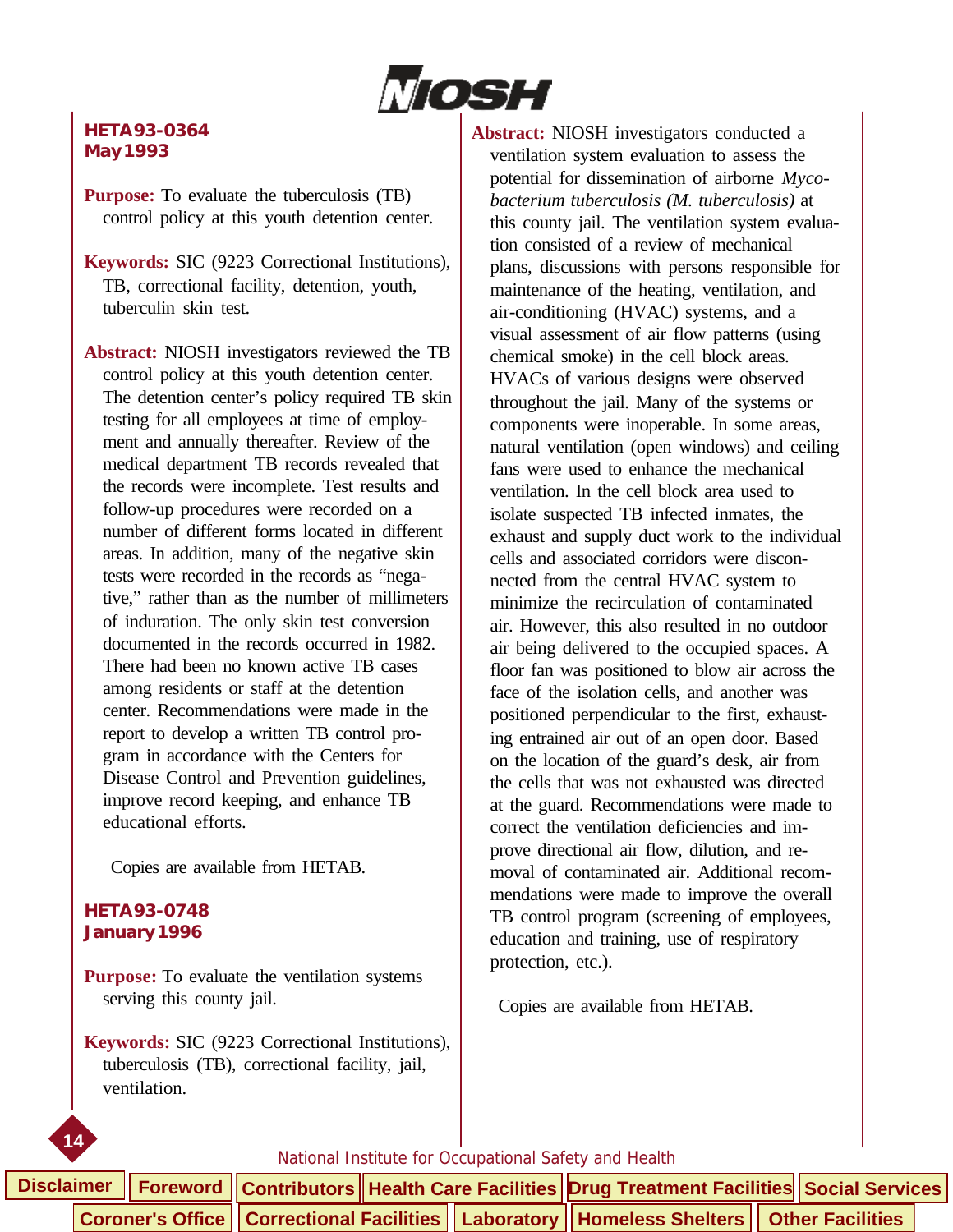

#### **HETA 93-0364 May 1993**

**Purpose:** To evaluate the tuberculosis (TB) control policy at this youth detention center.

**Keywords:** SIC (9223 Correctional Institutions), TB, correctional facility, detention, youth, tuberculin skin test.

**Abstract:** NIOSH investigators reviewed the TB control policy at this youth detention center. The detention center's policy required TB skin testing for all employees at time of employment and annually thereafter. Review of the medical department TB records revealed that the records were incomplete. Test results and follow-up procedures were recorded on a number of different forms located in different areas. In addition, many of the negative skin tests were recorded in the records as "negative," rather than as the number of millimeters of induration. The only skin test conversion documented in the records occurred in 1982. There had been no known active TB cases among residents or staff at the detention center. Recommendations were made in the report to develop a written TB control program in accordance with the Centers for Disease Control and Prevention guidelines, improve record keeping, and enhance TB educational efforts.

Copies are available from HETAB.

#### **HETA 93-0748 January 1996**

**14**

**Purpose:** To evaluate the ventilation systems serving this county jail.

**Keywords:** SIC (9223 Correctional Institutions), tuberculosis (TB), correctional facility, jail, ventilation.

**Abstract:** NIOSH investigators conducted a ventilation system evaluation to assess the potential for dissemination of airborne *Mycobacterium tuberculosis (M. tuberculosis)* at this county jail. The ventilation system evaluation consisted of a review of mechanical plans, discussions with persons responsible for maintenance of the heating, ventilation, and air-conditioning (HVAC) systems, and a visual assessment of air flow patterns (using chemical smoke) in the cell block areas. HVACs of various designs were observed throughout the jail. Many of the systems or components were inoperable. In some areas, natural ventilation (open windows) and ceiling fans were used to enhance the mechanical ventilation. In the cell block area used to isolate suspected TB infected inmates, the exhaust and supply duct work to the individual cells and associated corridors were disconnected from the central HVAC system to minimize the recirculation of contaminated air. However, this also resulted in no outdoor air being delivered to the occupied spaces. A floor fan was positioned to blow air across the face of the isolation cells, and another was positioned perpendicular to the first, exhausting entrained air out of an open door. Based on the location of the guard's desk, air from the cells that was not exhausted was directed at the guard. Recommendations were made to correct the ventilation deficiencies and improve directional air flow, dilution, and removal of contaminated air. Additional recommendations were made to improve the overall TB control program (screening of employees, education and training, use of respiratory protection, etc.).

Copies are available from HETAB.

|  | Disclaimer │ Foreword │ Contributors │ Health Care Facilities │ Drug Treatment Facilities│ Social Services │                                                    |  |  |  |  |
|--|-----------------------------------------------------------------------------------------------------------------------------------------------------------------|--|--|--|--|
|  | $\vert$ Coroner's Office $\vert\vert$ Correctional Facilities $\vert\vert$ Laboratory $\vert\vert$ Homeless Shelters $\vert\vert$ Other Facilities $\vert\vert$ |  |  |  |  |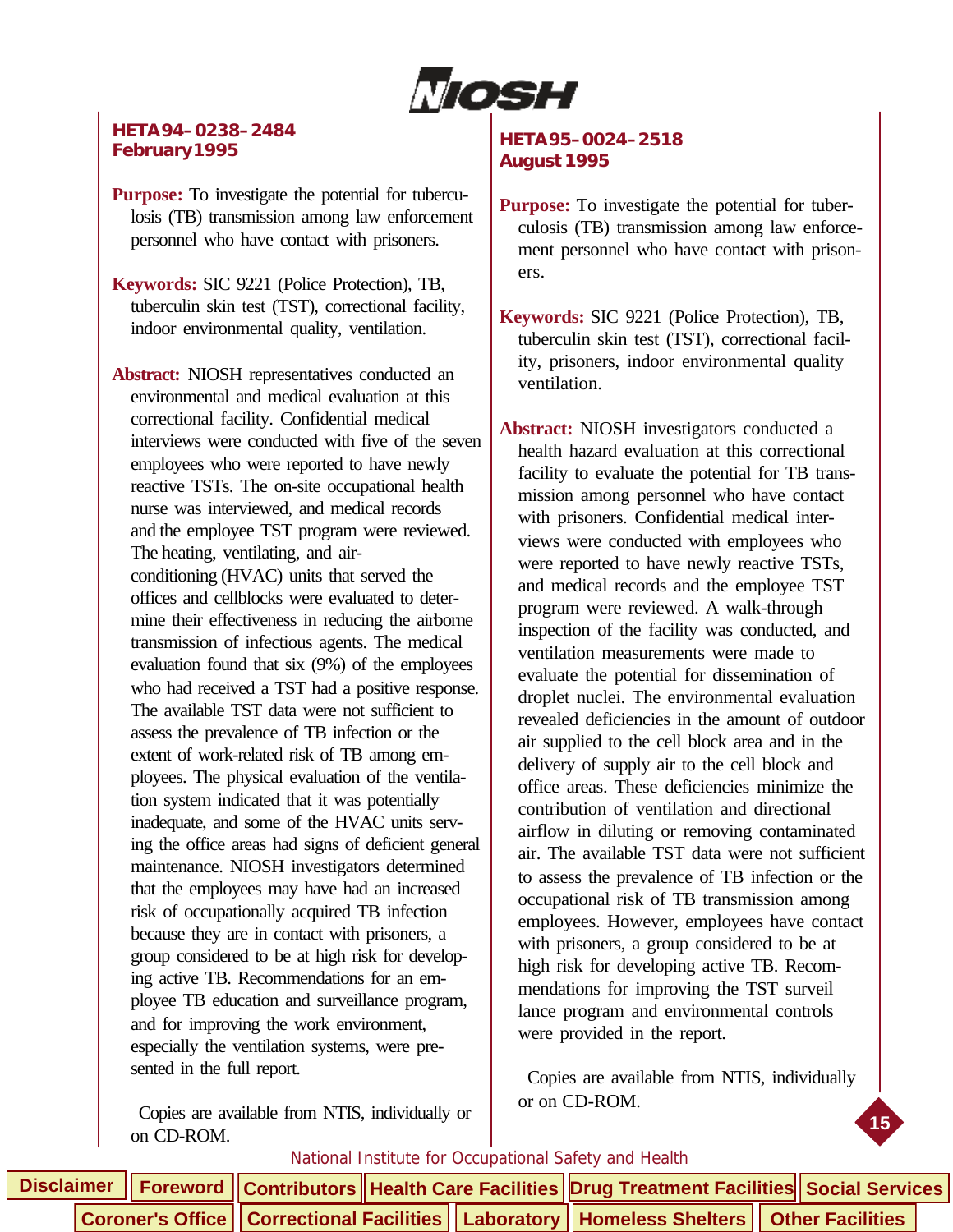Nosh

#### **HETA 94–0238–2484 February 1995**

**Purpose:** To investigate the potential for tuberculosis (TB) transmission among law enforcement personnel who have contact with prisoners.

**Keywords:** SIC 9221 (Police Protection), TB, tuberculin skin test (TST), correctional facility, indoor environmental quality, ventilation.

**Abstract:** NIOSH representatives conducted an environmental and medical evaluation at this correctional facility. Confidential medical interviews were conducted with five of the seven employees who were reported to have newly reactive TSTs. The on-site occupational health nurse was interviewed, and medical records and the employee TST program were reviewed. The heating, ventilating, and airconditioning (HVAC) units that served the offices and cellblocks were evaluated to determine their effectiveness in reducing the airborne transmission of infectious agents. The medical evaluation found that six (9%) of the employees who had received a TST had a positive response. The available TST data were not sufficient to assess the prevalence of TB infection or the extent of work-related risk of TB among employees. The physical evaluation of the ventilation system indicated that it was potentially inadequate, and some of the HVAC units serving the office areas had signs of deficient general maintenance. NIOSH investigators determined that the employees may have had an increased risk of occupationally acquired TB infection because they are in contact with prisoners, a group considered to be at high risk for developing active TB. Recommendations for an employee TB education and surveillance program, and for improving the work environment, especially the ventilation systems, were presented in the full report.

 Copies are available from NTIS, individually or on CD-ROM.

#### **HETA 95–0024–2518 August 1995**

- **Purpose:** To investigate the potential for tuberculosis (TB) transmission among law enforcement personnel who have contact with prisoners.
- **Keywords:** SIC 9221 (Police Protection), TB, tuberculin skin test (TST), correctional facility, prisoners, indoor environmental quality ventilation.

**Abstract:** NIOSH investigators conducted a health hazard evaluation at this correctional facility to evaluate the potential for TB transmission among personnel who have contact with prisoners. Confidential medical interviews were conducted with employees who were reported to have newly reactive TSTs, and medical records and the employee TST program were reviewed. A walk-through inspection of the facility was conducted, and ventilation measurements were made to evaluate the potential for dissemination of droplet nuclei. The environmental evaluation revealed deficiencies in the amount of outdoor air supplied to the cell block area and in the delivery of supply air to the cell block and office areas. These deficiencies minimize the contribution of ventilation and directional airflow in diluting or removing contaminated air. The available TST data were not sufficient to assess the prevalence of TB infection or the occupational risk of TB transmission among employees. However, employees have contact with prisoners, a group considered to be at high risk for developing active TB. Recommendations for improving the TST surveil lance program and environmental controls were provided in the report.

 Copies are available from NTIS, individually or on CD-ROM.

**15**

|  |  |  | Disclaimer    Foreword    Contributors    Health Care Facilities    Drug Treatment Facilities    Social Services |  |
|--|--|--|------------------------------------------------------------------------------------------------------------------|--|
|  |  |  | <b>Coroner's Office   Correctional Facilities   Laboratory   Homeless Shelters   Other Facilities  </b>          |  |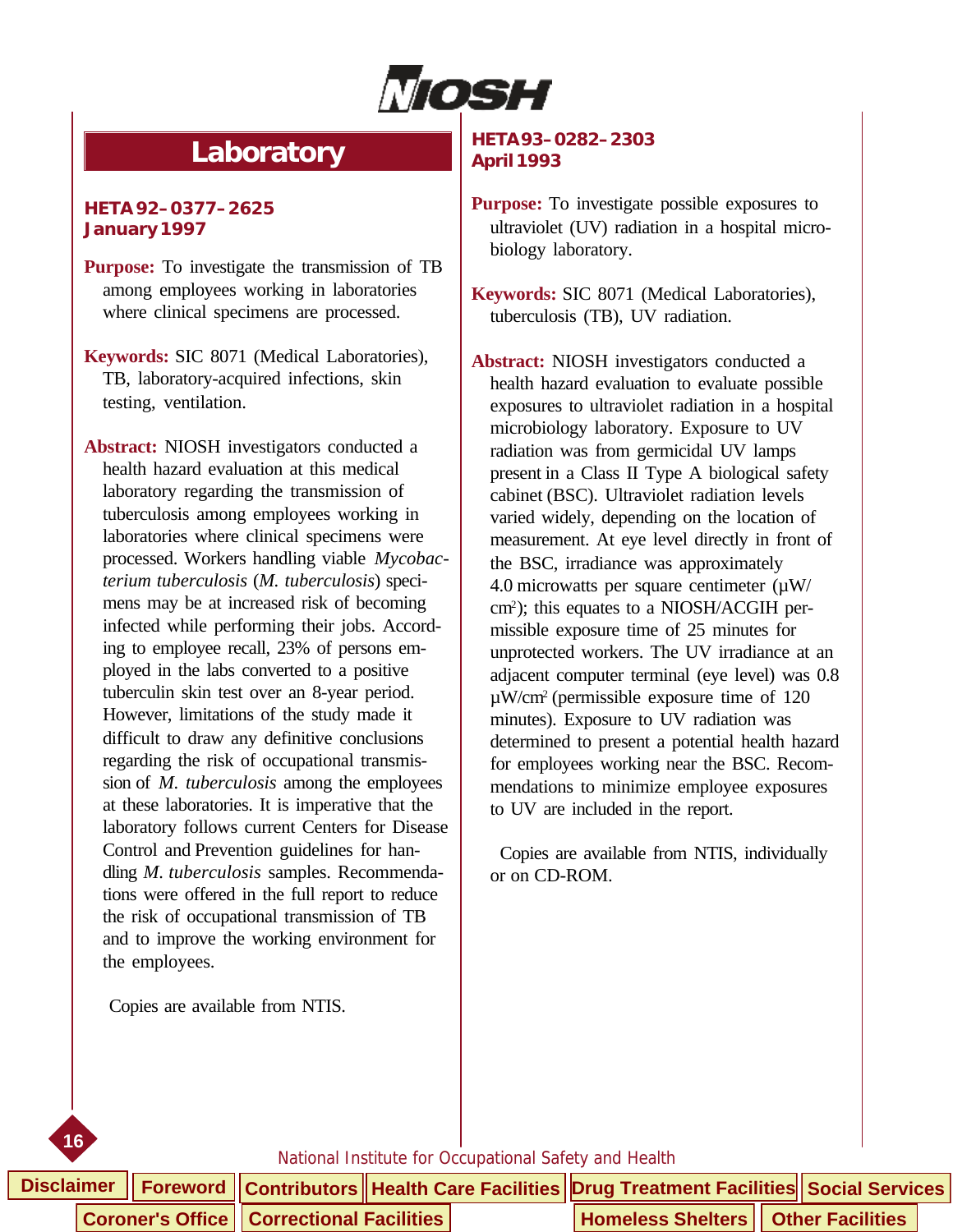

# **Laboratory**

#### <span id="page-20-0"></span>**HETA 92–0377–2625 January 1997**

- **Purpose:** To investigate the transmission of TB among employees working in laboratories where clinical specimens are processed.
- **Keywords:** SIC 8071 (Medical Laboratories), TB, laboratory-acquired infections, skin testing, ventilation.
- **Abstract:** NIOSH investigators conducted a health hazard evaluation at this medical laboratory regarding the transmission of tuberculosis among employees working in laboratories where clinical specimens were processed. Workers handling viable *Mycobacterium tuberculosis* (*M. tuberculosis*) specimens may be at increased risk of becoming infected while performing their jobs. According to employee recall, 23% of persons employed in the labs converted to a positive tuberculin skin test over an 8-year period. However, limitations of the study made it difficult to draw any definitive conclusions regarding the risk of occupational transmission of *M. tuberculosis* among the employees at these laboratories. It is imperative that the laboratory follows current Centers for Disease Control and Prevention guidelines for handling *M. tuberculosis* samples. Recommendations were offered in the full report to reduce the risk of occupational transmission of TB and to improve the working environment for the employees.

Copies are available from NTIS.

#### **HETA 93–0282–2303 April 1993**

- **Purpose:** To investigate possible exposures to ultraviolet (UV) radiation in a hospital microbiology laboratory.
- **Keywords:** SIC 8071 (Medical Laboratories), tuberculosis (TB), UV radiation.

**Abstract:** NIOSH investigators conducted a health hazard evaluation to evaluate possible exposures to ultraviolet radiation in a hospital microbiology laboratory. Exposure to UV radiation was from germicidal UV lamps present in a Class II Type A biological safety cabinet (BSC). Ultraviolet radiation levels varied widely, depending on the location of measurement. At eye level directly in front of the BSC, irradiance was approximately 4.0 microwatts per square centimeter  $(\mu W)$ cm<sup>2</sup> ); this equates to a NIOSH/ACGIH permissible exposure time of 25 minutes for unprotected workers. The UV irradiance at an adjacent computer terminal (eye level) was 0.8 µW/cm2 (permissible exposure time of 120 minutes). Exposure to UV radiation was determined to present a potential health hazard for employees working near the BSC. Recommendations to minimize employee exposures to UV are included in the report.

 Copies are available from NTIS, individually or on CD-ROM.



|  |                                                     |  | Disclaimer │ Foreword │ Contributors │ Health Care Facilities │Drug Treatment Facilities│ Social Services |  |  |
|--|-----------------------------------------------------|--|-----------------------------------------------------------------------------------------------------------|--|--|
|  | <b>Coroner's Office   Correctional Facilities  </b> |  | Homeless Shelters   Other Facilities                                                                      |  |  |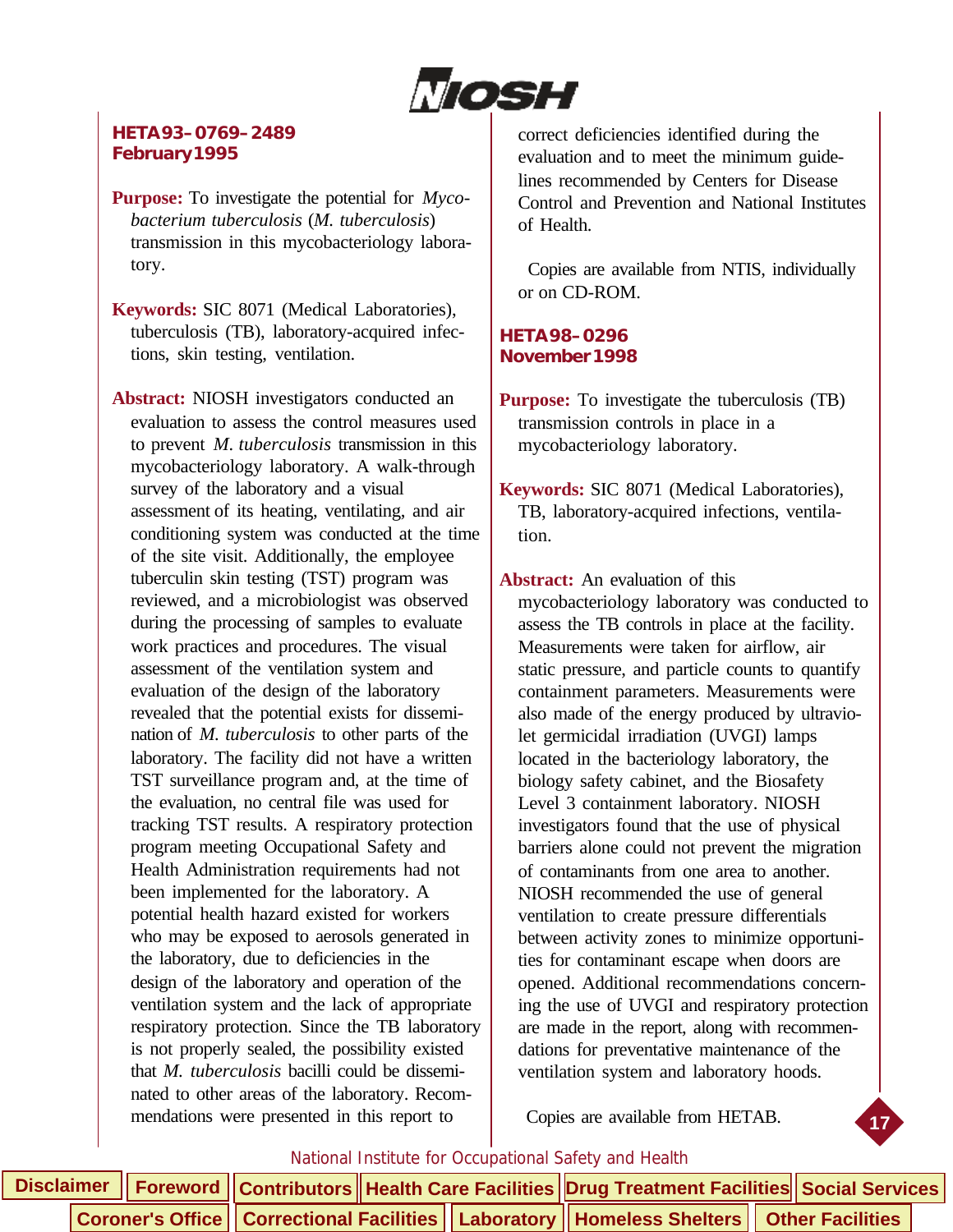Nosh

#### **HETA 93–0769–2489 February 1995**

**Purpose:** To investigate the potential for *Mycobacterium tuberculosis* (*M. tuberculosis*) transmission in this mycobacteriology laboratory.

**Keywords:** SIC 8071 (Medical Laboratories), tuberculosis (TB), laboratory-acquired infections, skin testing, ventilation.

**Abstract:** NIOSH investigators conducted an evaluation to assess the control measures used to prevent *M. tuberculosis* transmission in this mycobacteriology laboratory. A walk-through survey of the laboratory and a visual assessment of its heating, ventilating, and air conditioning system was conducted at the time of the site visit. Additionally, the employee tuberculin skin testing (TST) program was reviewed, and a microbiologist was observed during the processing of samples to evaluate work practices and procedures. The visual assessment of the ventilation system and evaluation of the design of the laboratory revealed that the potential exists for dissemination of *M. tuberculosis* to other parts of the laboratory. The facility did not have a written TST surveillance program and, at the time of the evaluation, no central file was used for tracking TST results. A respiratory protection program meeting Occupational Safety and Health Administration requirements had not been implemented for the laboratory. A potential health hazard existed for workers who may be exposed to aerosols generated in the laboratory, due to deficiencies in the design of the laboratory and operation of the ventilation system and the lack of appropriate respiratory protection. Since the TB laboratory is not properly sealed, the possibility existed that *M. tuberculosis* bacilli could be disseminated to other areas of the laboratory. Recommendations were presented in this report to

correct deficiencies identified during the evaluation and to meet the minimum guidelines recommended by Centers for Disease Control and Prevention and National Institutes of Health.

 Copies are available from NTIS, individually or on CD-ROM.

#### **HETA 98–0296 November 1998**

**Purpose:** To investigate the tuberculosis (TB) transmission controls in place in a mycobacteriology laboratory.

**Keywords:** SIC 8071 (Medical Laboratories), TB, laboratory-acquired infections, ventilation.

**Abstract:** An evaluation of this mycobacteriology laboratory was conducted to assess the TB controls in place at the facility. Measurements were taken for airflow, air static pressure, and particle counts to quantify containment parameters. Measurements were also made of the energy produced by ultraviolet germicidal irradiation (UVGI) lamps located in the bacteriology laboratory, the biology safety cabinet, and the Biosafety Level 3 containment laboratory. NIOSH investigators found that the use of physical barriers alone could not prevent the migration of contaminants from one area to another. NIOSH recommended the use of general ventilation to create pressure differentials between activity zones to minimize opportunities for contaminant escape when doors are opened. Additional recommendations concerning the use of UVGI and respiratory protection are made in the report, along with recommendations for preventative maintenance of the ventilation system and laboratory hoods.

Copies are available from HETAB.

**17**



|  |  |  |  | Disclaimer   Foreword   Contributors   Health Care Facilities Drug Treatment Facilities Social Services |  |
|--|--|--|--|---------------------------------------------------------------------------------------------------------|--|
|  |  |  |  | Coroner's Office    Correctional Facilities    Laboratory    Homeless Shelters    Other Facilities      |  |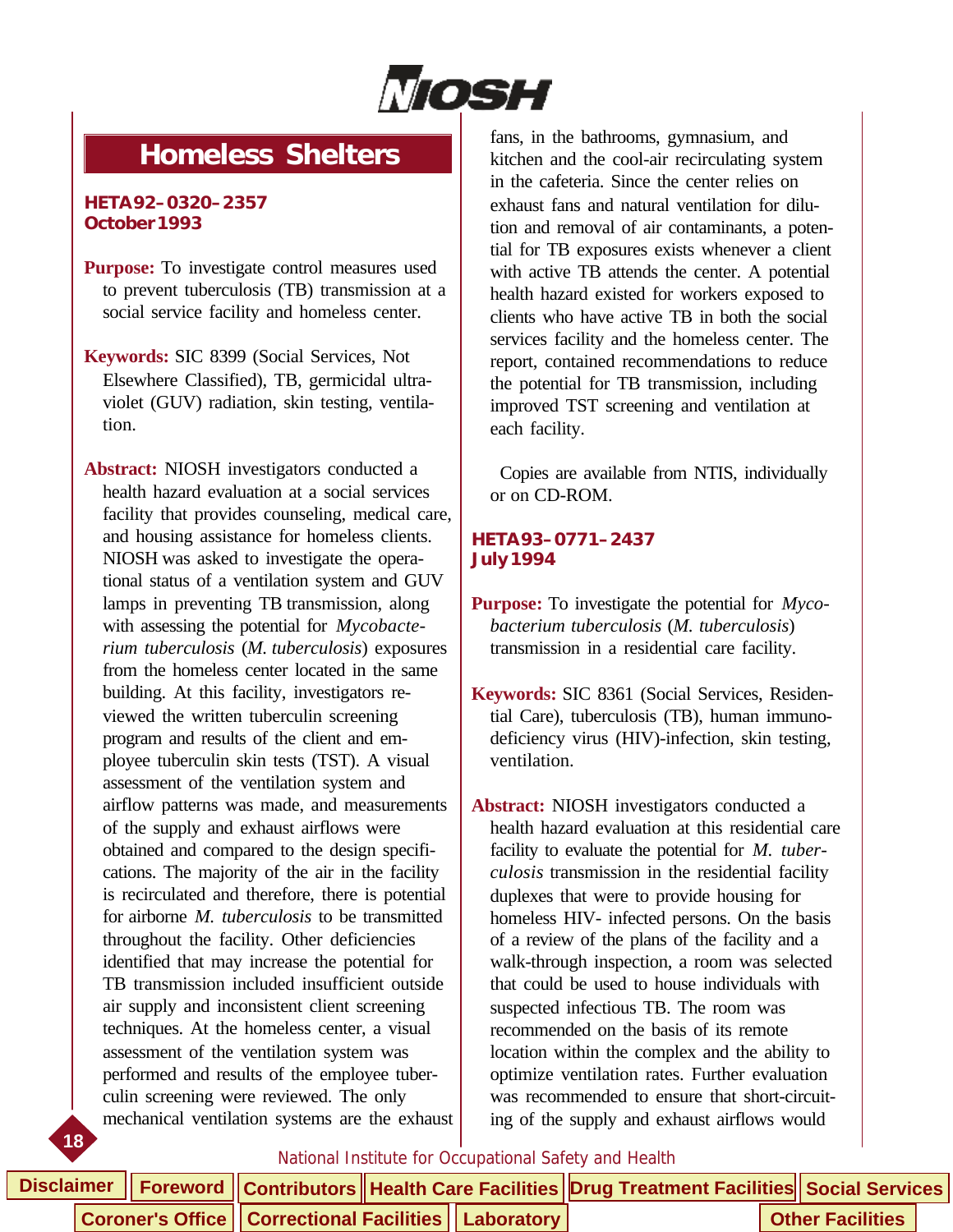

# <span id="page-22-0"></span>**Homeless Shelters**

#### **HETA 92–0320–2357 October 1993**

- **Purpose:** To investigate control measures used to prevent tuberculosis (TB) transmission at a social service facility and homeless center.
- **Keywords:** SIC 8399 (Social Services, Not Elsewhere Classified), TB, germicidal ultraviolet (GUV) radiation, skin testing, ventilation.
- **18 Abstract:** NIOSH investigators conducted a health hazard evaluation at a social services facility that provides counseling, medical care, and housing assistance for homeless clients. NIOSH was asked to investigate the operational status of a ventilation system and GUV lamps in preventing TB transmission, along with assessing the potential for *Mycobacterium tuberculosis* (*M. tuberculosis*) exposures from the homeless center located in the same building. At this facility, investigators reviewed the written tuberculin screening program and results of the client and employee tuberculin skin tests (TST). A visual assessment of the ventilation system and airflow patterns was made, and measurements of the supply and exhaust airflows were obtained and compared to the design specifications. The majority of the air in the facility is recirculated and therefore, there is potential for airborne *M. tuberculosis* to be transmitted throughout the facility. Other deficiencies identified that may increase the potential for TB transmission included insufficient outside air supply and inconsistent client screening techniques. At the homeless center, a visual assessment of the ventilation system was performed and results of the employee tuberculin screening were reviewed. The only mechanical ventilation systems are the exhaust

fans, in the bathrooms, gymnasium, and kitchen and the cool-air recirculating system in the cafeteria. Since the center relies on exhaust fans and natural ventilation for dilution and removal of air contaminants, a potential for TB exposures exists whenever a client with active TB attends the center. A potential health hazard existed for workers exposed to clients who have active TB in both the social services facility and the homeless center. The report, contained recommendations to reduce the potential for TB transmission, including improved TST screening and ventilation at each facility.

 Copies are available from NTIS, individually or on CD-ROM.

#### **HETA 93–0771–2437 July 1994**

**Purpose:** To investigate the potential for *Mycobacterium tuberculosis* (*M. tuberculosis*) transmission in a residential care facility.

- **Keywords:** SIC 8361 (Social Services, Residential Care), tuberculosis (TB), human immunodeficiency virus (HIV)-infection, skin testing, ventilation.
- **Abstract:** NIOSH investigators conducted a health hazard evaluation at this residential care facility to evaluate the potential for *M. tuberculosis* transmission in the residential facility duplexes that were to provide housing for homeless HIV- infected persons. On the basis of a review of the plans of the facility and a walk-through inspection, a room was selected that could be used to house individuals with suspected infectious TB. The room was recommended on the basis of its remote location within the complex and the ability to optimize ventilation rates. Further evaluation was recommended to ensure that short-circuiting of the supply and exhaust airflows would

|  |                                                         |  |  | Disclaimer    Foreword    Contributors    Health Care Facilities    Drug Treatment Facilities    Social Services |                         |  |
|--|---------------------------------------------------------|--|--|------------------------------------------------------------------------------------------------------------------|-------------------------|--|
|  | Coroner's Office   Correctional Facilities   Laboratory |  |  |                                                                                                                  | <b>Other Facilities</b> |  |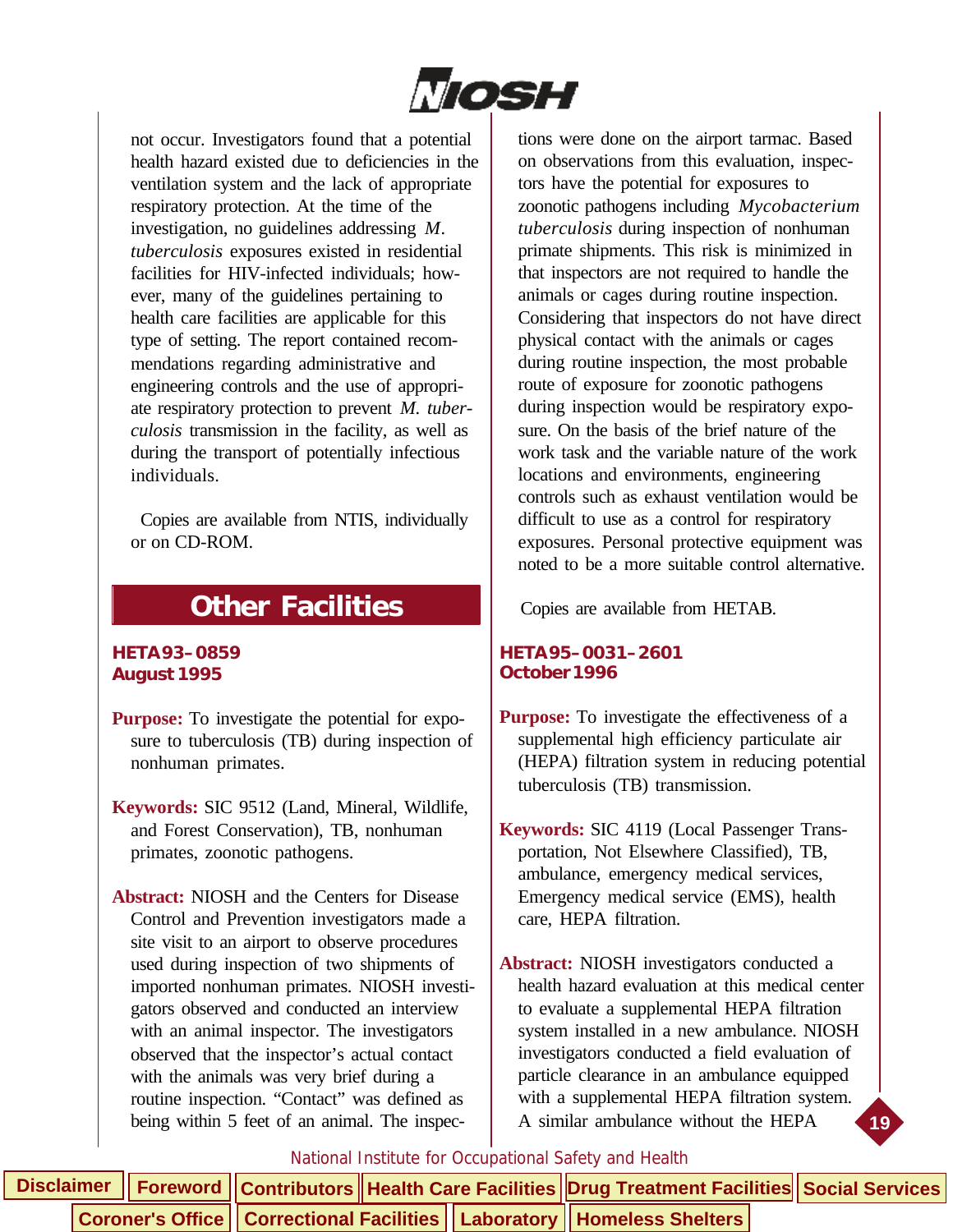

<span id="page-23-0"></span>not occur. Investigators found that a potential health hazard existed due to deficiencies in the ventilation system and the lack of appropriate respiratory protection. At the time of the investigation, no guidelines addressing *M. tuberculosis* exposures existed in residential facilities for HIV-infected individuals; however, many of the guidelines pertaining to health care facilities are applicable for this type of setting. The report contained recommendations regarding administrative and engineering controls and the use of appropriate respiratory protection to prevent *M. tuberculosis* transmission in the facility, as well as during the transport of potentially infectious individuals.

 Copies are available from NTIS, individually or on CD-ROM.

## **Other Facilities**

#### **HETA 93–0859 August 1995**

- **Purpose:** To investigate the potential for exposure to tuberculosis (TB) during inspection of nonhuman primates.
- **Keywords:** SIC 9512 (Land, Mineral, Wildlife, and Forest Conservation), TB, nonhuman primates, zoonotic pathogens.
- **Abstract:** NIOSH and the Centers for Disease Control and Prevention investigators made a site visit to an airport to observe procedures used during inspection of two shipments of imported nonhuman primates. NIOSH investigators observed and conducted an interview with an animal inspector. The investigators observed that the inspector's actual contact with the animals was very brief during a routine inspection. "Contact" was defined as being within 5 feet of an animal. The inspec-

tions were done on the airport tarmac. Based on observations from this evaluation, inspectors have the potential for exposures to zoonotic pathogens including *Mycobacterium tuberculosis* during inspection of nonhuman primate shipments. This risk is minimized in that inspectors are not required to handle the animals or cages during routine inspection. Considering that inspectors do not have direct physical contact with the animals or cages during routine inspection, the most probable route of exposure for zoonotic pathogens during inspection would be respiratory exposure. On the basis of the brief nature of the work task and the variable nature of the work locations and environments, engineering controls such as exhaust ventilation would be difficult to use as a control for respiratory exposures. Personal protective equipment was noted to be a more suitable control alternative.

Copies are available from HETAB.

#### **HETA 95–0031–2601 October 1996**

- **Purpose:** To investigate the effectiveness of a supplemental high efficiency particulate air (HEPA) filtration system in reducing potential tuberculosis (TB) transmission.
- **Keywords:** SIC 4119 (Local Passenger Transportation, Not Elsewhere Classified), TB, ambulance, emergency medical services, Emergency medical service (EMS), health care, HEPA filtration.
- **Abstract:** NIOSH investigators conducted a health hazard evaluation at this medical center to evaluate a supplemental HEPA filtration system installed in a new ambulance. NIOSH investigators conducted a field evaluation of particle clearance in an ambulance equipped with a supplemental HEPA filtration system. A similar ambulance without the HEPA

**19**

|  |  |  | Disclaimer    Foreword    Contributors    Health Care Facilities    Drug Treatment Facilities    Social Services |  |  |
|--|--|--|------------------------------------------------------------------------------------------------------------------|--|--|
|  |  |  | Coroner's Office    Correctional Facilities    Laboratory    Homeless Shelters                                   |  |  |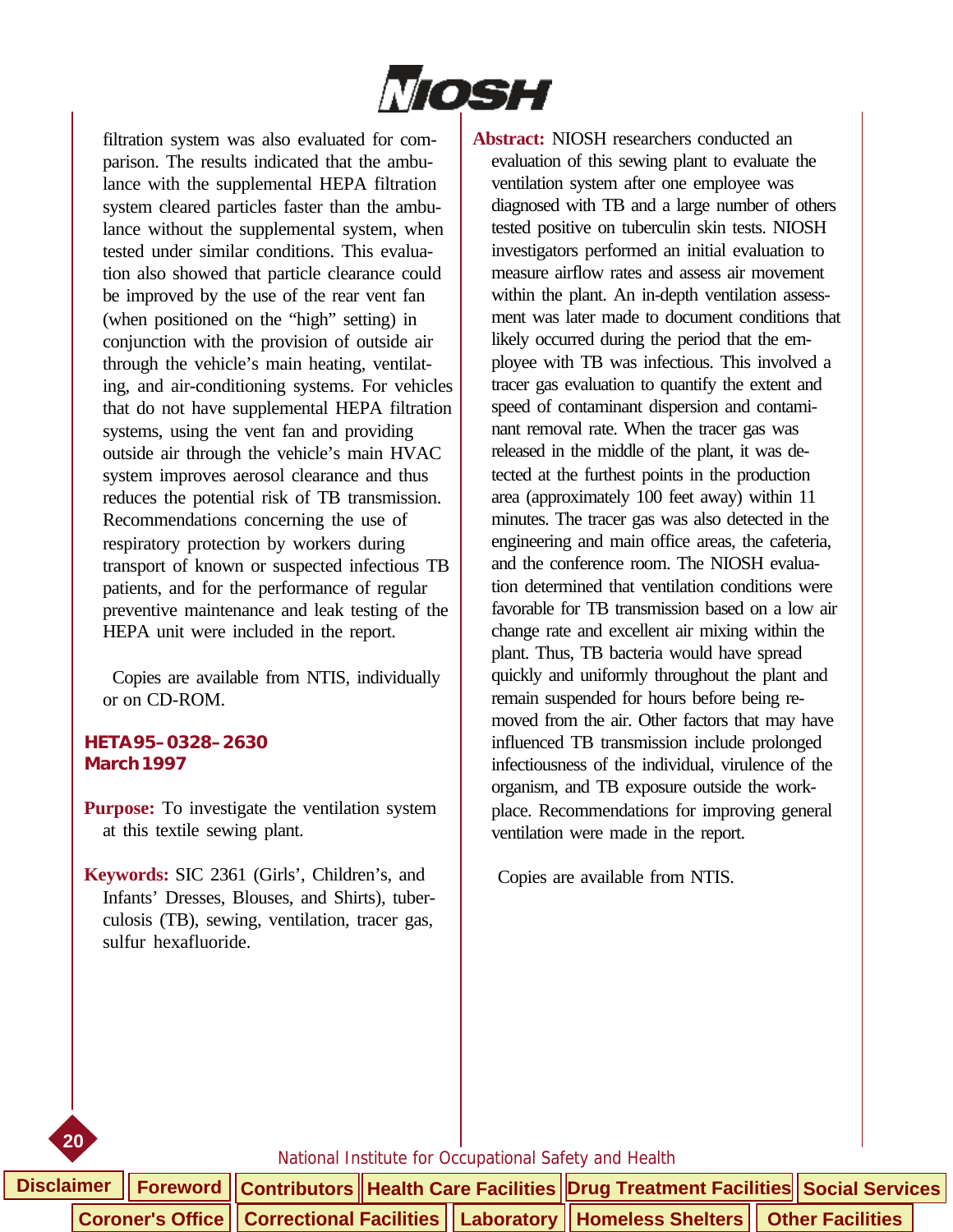

filtration system was also evaluated for comparison. The results indicated that the ambulance with the supplemental HEPA filtration system cleared particles faster than the ambulance without the supplemental system, when tested under similar conditions. This evaluation also showed that particle clearance could be improved by the use of the rear vent fan (when positioned on the "high" setting) in conjunction with the provision of outside air through the vehicle's main heating, ventilating, and air-conditioning systems. For vehicles that do not have supplemental HEPA filtration systems, using the vent fan and providing outside air through the vehicle's main HVAC system improves aerosol clearance and thus reduces the potential risk of TB transmission. Recommendations concerning the use of respiratory protection by workers during transport of known or suspected infectious TB patients, and for the performance of regular preventive maintenance and leak testing of the HEPA unit were included in the report.

 Copies are available from NTIS, individually or on CD-ROM.

#### **HETA 95–0328–2630 March 1997**

**Purpose:** To investigate the ventilation system at this textile sewing plant.

**Keywords:** SIC 2361 (Girls', Children's, and Infants' Dresses, Blouses, and Shirts), tuberculosis (TB), sewing, ventilation, tracer gas, sulfur hexafluoride.

**Abstract:** NIOSH researchers conducted an evaluation of this sewing plant to evaluate the ventilation system after one employee was diagnosed with TB and a large number of others tested positive on tuberculin skin tests. NIOSH investigators performed an initial evaluation to measure airflow rates and assess air movement within the plant. An in-depth ventilation assessment was later made to document conditions that likely occurred during the period that the employee with TB was infectious. This involved a tracer gas evaluation to quantify the extent and speed of contaminant dispersion and contaminant removal rate. When the tracer gas was released in the middle of the plant, it was detected at the furthest points in the production area (approximately 100 feet away) within 11 minutes. The tracer gas was also detected in the engineering and main office areas, the cafeteria, and the conference room. The NIOSH evaluation determined that ventilation conditions were favorable for TB transmission based on a low air change rate and excellent air mixing within the plant. Thus, TB bacteria would have spread quickly and uniformly throughout the plant and remain suspended for hours before being removed from the air. Other factors that may have influenced TB transmission include prolonged infectiousness of the individual, virulence of the organism, and TB exposure outside the workplace. Recommendations for improving general ventilation were made in the report.

Copies are available from NTIS.



|  |  |  |  | Disclaimer    Foreword    Contributors    Health Care Facilities    Drug Treatment Facilities    Social Services |  |  |
|--|--|--|--|------------------------------------------------------------------------------------------------------------------|--|--|
|  |  |  |  | <b>Coroner's Office   Correctional Facilities   Laboratory   Homeless Shelters   Other Facilities  </b>          |  |  |